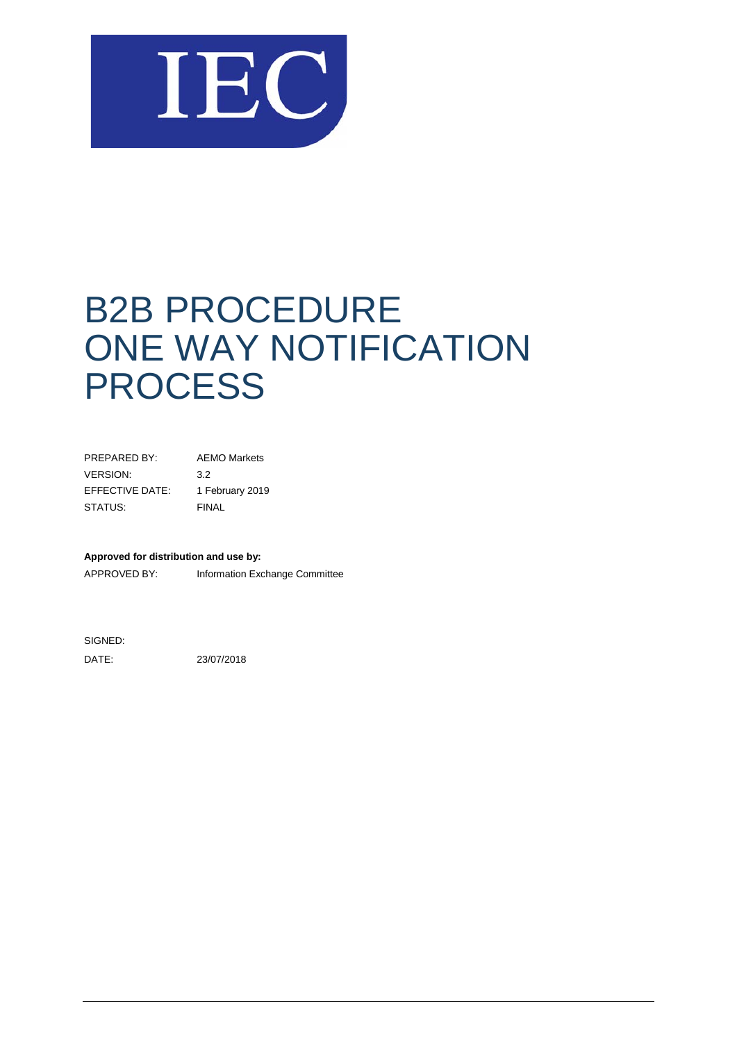

# B2B PROCEDURE ONE WAY NOTIFICATION PROCESS

| PREPARED BY:    | <b>AEMO Markets</b> |
|-----------------|---------------------|
| <b>VERSION:</b> | 3.2                 |
| EFFECTIVE DATE: | 1 February 2019     |
| STATUS:         | FINAL               |

#### **Approved for distribution and use by:**

APPROVED BY: Information Exchange Committee

SIGNED:

DATE: 23/07/2018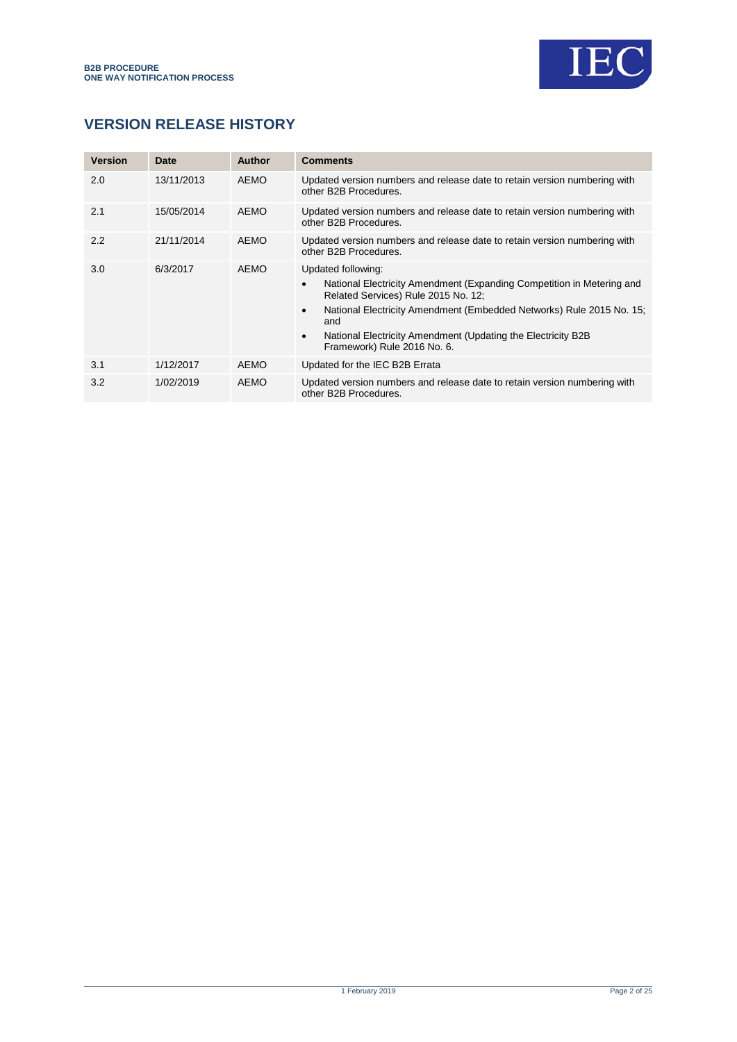

### **VERSION RELEASE HISTORY**

| <b>Version</b> | Date       | <b>Author</b> | <b>Comments</b>                                                                                                                                                                                                                                                                                                                                          |
|----------------|------------|---------------|----------------------------------------------------------------------------------------------------------------------------------------------------------------------------------------------------------------------------------------------------------------------------------------------------------------------------------------------------------|
| 2.0            | 13/11/2013 | <b>AEMO</b>   | Updated version numbers and release date to retain version numbering with<br>other B2B Procedures.                                                                                                                                                                                                                                                       |
| 2.1            | 15/05/2014 | AEMO          | Updated version numbers and release date to retain version numbering with<br>other B2B Procedures.                                                                                                                                                                                                                                                       |
| 2.2            | 21/11/2014 | AEMO          | Updated version numbers and release date to retain version numbering with<br>other B2B Procedures.                                                                                                                                                                                                                                                       |
| 3.0            | 6/3/2017   | AEMO          | Updated following:<br>National Electricity Amendment (Expanding Competition in Metering and<br>$\bullet$<br>Related Services) Rule 2015 No. 12;<br>National Electricity Amendment (Embedded Networks) Rule 2015 No. 15;<br>$\bullet$<br>and<br>National Electricity Amendment (Updating the Electricity B2B)<br>$\bullet$<br>Framework) Rule 2016 No. 6. |
| 3.1            | 1/12/2017  | AEMO          | Updated for the IEC B2B Errata                                                                                                                                                                                                                                                                                                                           |
| 3.2            | 1/02/2019  | AEMO          | Updated version numbers and release date to retain version numbering with<br>other B2B Procedures.                                                                                                                                                                                                                                                       |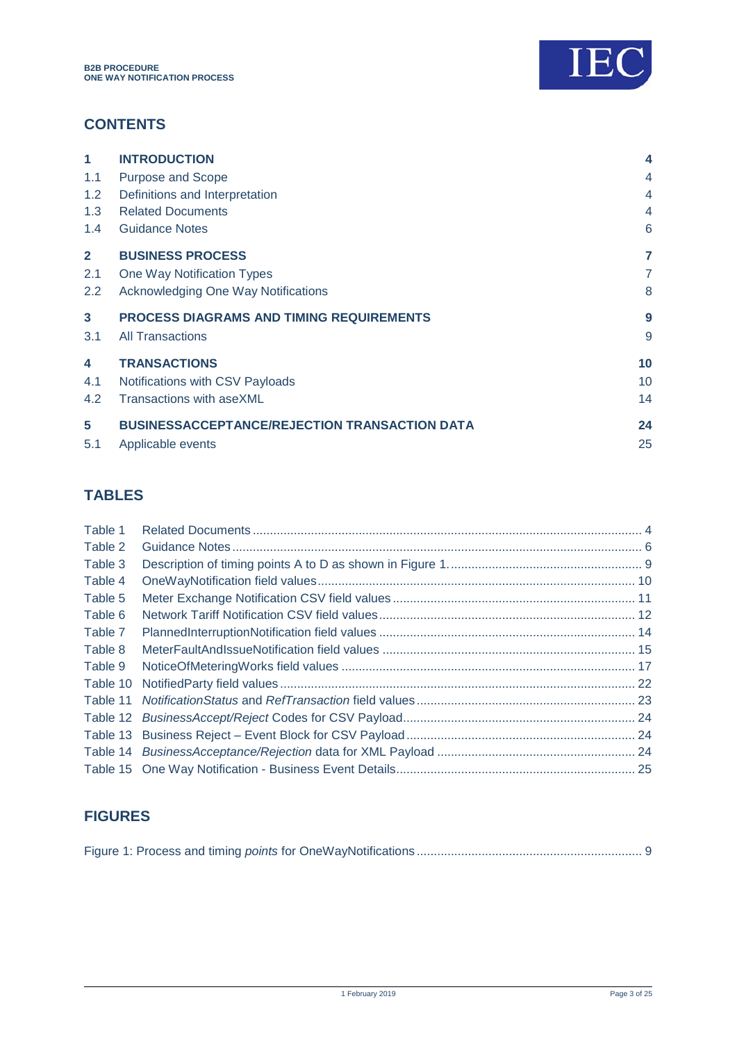

### **CONTENTS**

| 1                | <b>INTRODUCTION</b>                                  | 4              |
|------------------|------------------------------------------------------|----------------|
| 1.1              | <b>Purpose and Scope</b>                             | $\overline{4}$ |
| 1.2 <sub>1</sub> | Definitions and Interpretation                       | $\overline{4}$ |
| 1.3              | <b>Related Documents</b>                             | $\overline{4}$ |
| 1.4              | <b>Guidance Notes</b>                                | 6              |
| $\mathbf{2}$     | <b>BUSINESS PROCESS</b>                              | 7              |
| 2.1              | One Way Notification Types                           | $\overline{7}$ |
| 2.2              | Acknowledging One Way Notifications                  | 8              |
| $\mathbf{3}$     | <b>PROCESS DIAGRAMS AND TIMING REQUIREMENTS</b>      | 9              |
| 3.1              | <b>All Transactions</b>                              | 9              |
| 4                | <b>TRANSACTIONS</b>                                  | 10             |
| 4.1              | Notifications with CSV Payloads                      | 10             |
| 4.2              | Transactions with aseXML                             | 14             |
| 5                | <b>BUSINESSACCEPTANCE/REJECTION TRANSACTION DATA</b> | 24             |
| 5.1              | Applicable events                                    | 25             |

### **TABLES**

| Table 1  |  |
|----------|--|
| Table 2  |  |
| Table 3  |  |
| Table 4  |  |
| Table 5  |  |
| Table 6  |  |
| Table 7  |  |
| Table 8  |  |
| Table 9  |  |
| Table 10 |  |
|          |  |
| Table 12 |  |
| Table 13 |  |
|          |  |
|          |  |

## **FIGURES**

|--|--|--|--|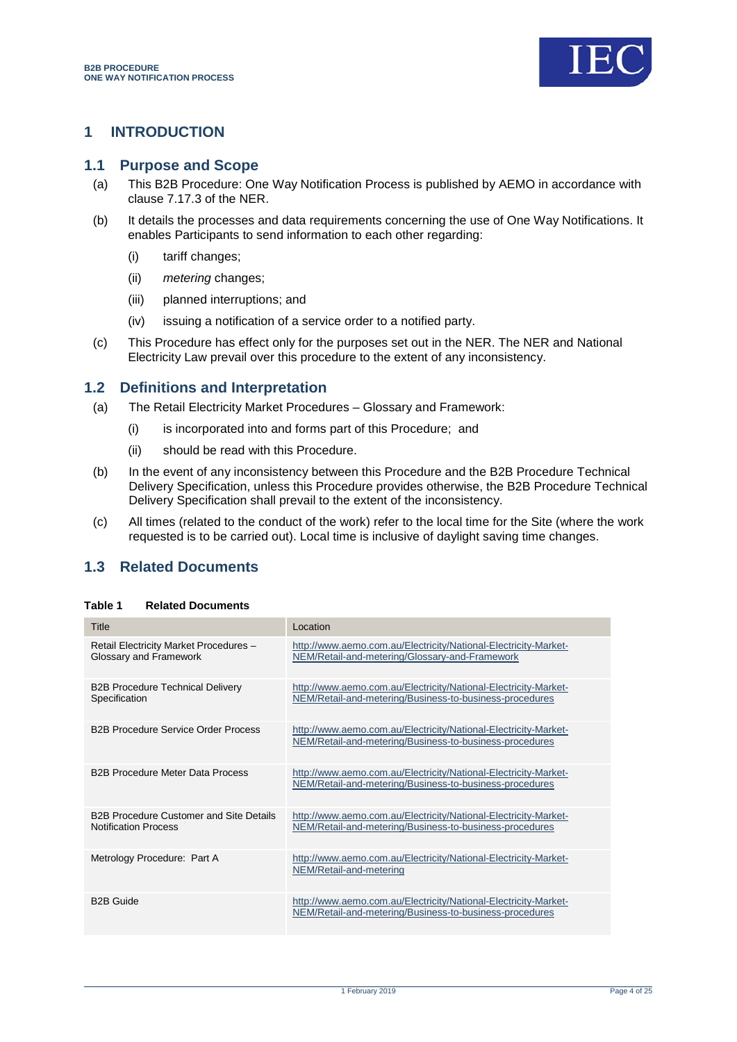

### <span id="page-3-0"></span>**1 INTRODUCTION**

#### <span id="page-3-1"></span>**1.1 Purpose and Scope**

- (a) This B2B Procedure: One Way Notification Process is published by AEMO in accordance with clause 7.17.3 of the NER.
- (b) It details the processes and data requirements concerning the use of One Way Notifications. It enables Participants to send information to each other regarding:
	- (i) tariff changes;
	- (ii) *metering* changes;
	- (iii) planned interruptions; and
	- (iv) issuing a notification of a service order to a notified party.
- (c) This Procedure has effect only for the purposes set out in the NER. The NER and National Electricity Law prevail over this procedure to the extent of any inconsistency.

### <span id="page-3-2"></span>**1.2 Definitions and Interpretation**

- (a) The Retail Electricity Market Procedures Glossary and Framework:
	- (i) is incorporated into and forms part of this Procedure; and
	- (ii) should be read with this Procedure.
- (b) In the event of any inconsistency between this Procedure and the B2B Procedure Technical Delivery Specification, unless this Procedure provides otherwise, the B2B Procedure Technical Delivery Specification shall prevail to the extent of the inconsistency.
- (c) All times (related to the conduct of the work) refer to the local time for the Site (where the work requested is to be carried out). Local time is inclusive of daylight saving time changes.

### <span id="page-3-3"></span>**1.3 Related Documents**

#### <span id="page-3-4"></span>**Table 1 Related Documents**

| Title                                                                  | Location                                                                                                                   |
|------------------------------------------------------------------------|----------------------------------------------------------------------------------------------------------------------------|
| Retail Electricity Market Procedures -<br>Glossary and Framework       | http://www.aemo.com.au/Electricity/National-Electricity-Market-<br>NEM/Retail-and-metering/Glossary-and-Framework          |
| <b>B2B Procedure Technical Delivery</b><br>Specification               | http://www.aemo.com.au/Electricity/National-Electricity-Market-<br>NEM/Retail-and-metering/Business-to-business-procedures |
| <b>B2B Procedure Service Order Process</b>                             | http://www.aemo.com.au/Electricity/National-Electricity-Market-<br>NEM/Retail-and-metering/Business-to-business-procedures |
| <b>B2B Procedure Meter Data Process</b>                                | http://www.aemo.com.au/Electricity/National-Electricity-Market-<br>NEM/Retail-and-metering/Business-to-business-procedures |
| B2B Procedure Customer and Site Details<br><b>Notification Process</b> | http://www.aemo.com.au/Electricity/National-Electricity-Market-<br>NEM/Retail-and-metering/Business-to-business-procedures |
| Metrology Procedure: Part A                                            | http://www.aemo.com.au/Electricity/National-Electricity-Market-<br>NEM/Retail-and-metering                                 |
| <b>B2B Guide</b>                                                       | http://www.aemo.com.au/Electricity/National-Electricity-Market-<br>NEM/Retail-and-metering/Business-to-business-procedures |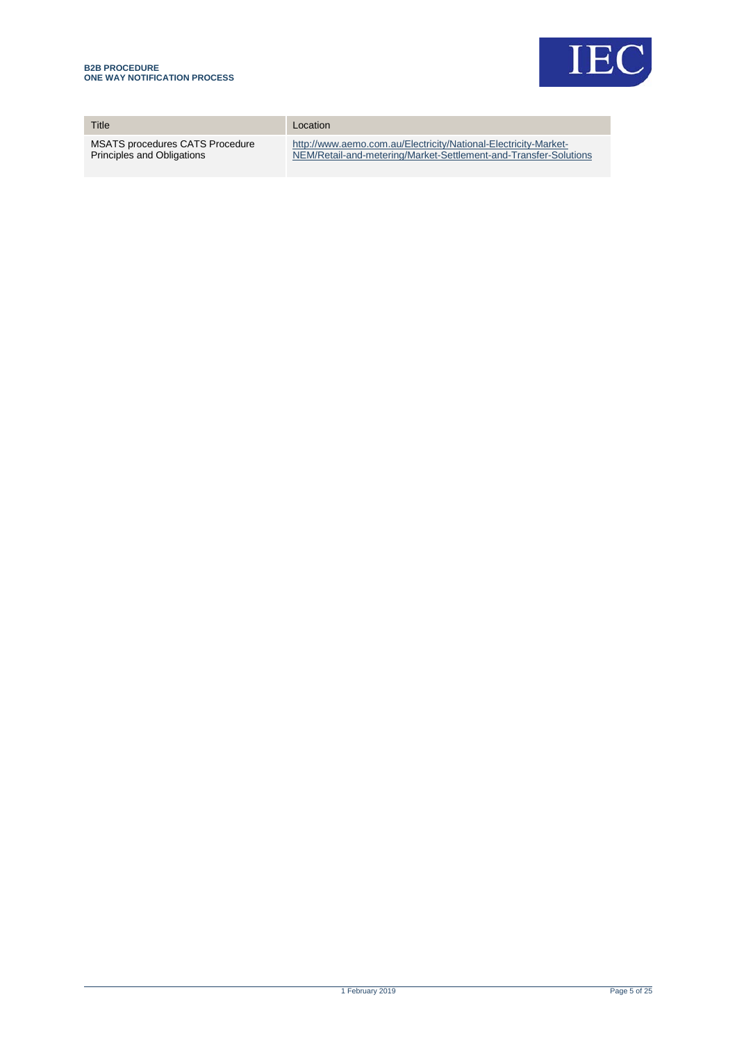

| Title                                  | Location                                                         |
|----------------------------------------|------------------------------------------------------------------|
| <b>MSATS procedures CATS Procedure</b> | http://www.aemo.com.au/Electricity/National-Electricity-Market-  |
| Principles and Obligations             | NEM/Retail-and-metering/Market-Settlement-and-Transfer-Solutions |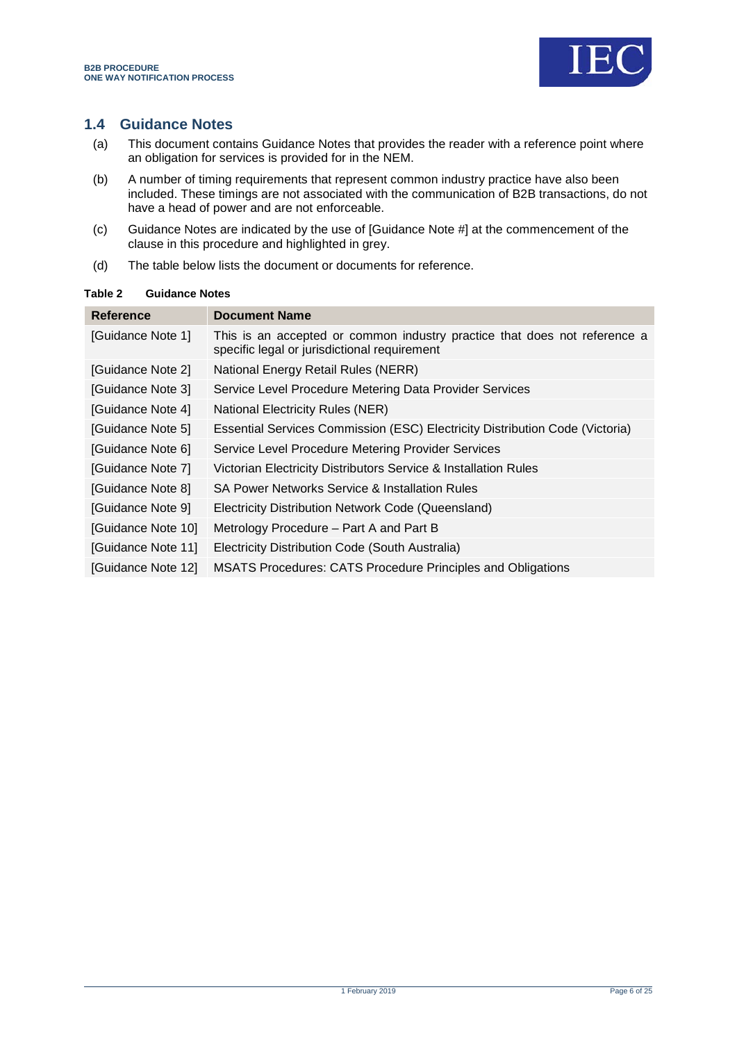

### <span id="page-5-0"></span>**1.4 Guidance Notes**

- (a) This document contains Guidance Notes that provides the reader with a reference point where an obligation for services is provided for in the NEM.
- (b) A number of timing requirements that represent common industry practice have also been included. These timings are not associated with the communication of B2B transactions, do not have a head of power and are not enforceable.
- (c) Guidance Notes are indicated by the use of [Guidance Note #] at the commencement of the clause in this procedure and highlighted in grey.
- (d) The table below lists the document or documents for reference.

#### <span id="page-5-1"></span>**Table 2 Guidance Notes**

| Reference          | <b>Document Name</b>                                                                                                      |
|--------------------|---------------------------------------------------------------------------------------------------------------------------|
| [Guidance Note 1]  | This is an accepted or common industry practice that does not reference a<br>specific legal or jurisdictional requirement |
| [Guidance Note 2]  | National Energy Retail Rules (NERR)                                                                                       |
| [Guidance Note 3]  | Service Level Procedure Metering Data Provider Services                                                                   |
| [Guidance Note 4]  | <b>National Electricity Rules (NER)</b>                                                                                   |
| [Guidance Note 5]  | Essential Services Commission (ESC) Electricity Distribution Code (Victoria)                                              |
| [Guidance Note 6]  | Service Level Procedure Metering Provider Services                                                                        |
| [Guidance Note 7]  | Victorian Electricity Distributors Service & Installation Rules                                                           |
| [Guidance Note 8]  | SA Power Networks Service & Installation Rules                                                                            |
| [Guidance Note 9]  | Electricity Distribution Network Code (Queensland)                                                                        |
| [Guidance Note 10] | Metrology Procedure – Part A and Part B                                                                                   |
| [Guidance Note 11] | Electricity Distribution Code (South Australia)                                                                           |
| [Guidance Note 12] | <b>MSATS Procedures: CATS Procedure Principles and Obligations</b>                                                        |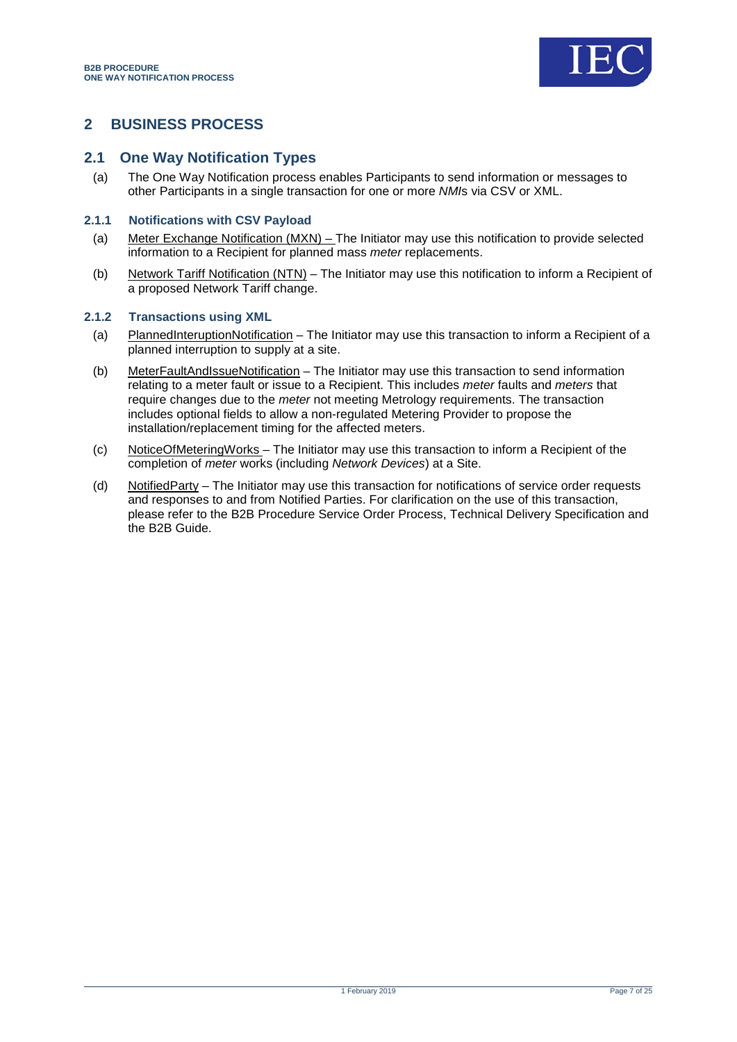

### <span id="page-6-0"></span>**2 BUSINESS PROCESS**

### <span id="page-6-1"></span>**2.1 One Way Notification Types**

(a) The One Way Notification process enables Participants to send information or messages to other Participants in a single transaction for one or more *NMI*s via CSV or XML.

#### **2.1.1 Notifications with CSV Payload**

- (a) Meter Exchange Notification (MXN) The Initiator may use this notification to provide selected information to a Recipient for planned mass *meter* replacements.
- (b) Network Tariff Notification (NTN) The Initiator may use this notification to inform a Recipient of a proposed Network Tariff change.

#### **2.1.2 Transactions using XML**

- (a) PlannedInteruptionNotification The Initiator may use this transaction to inform a Recipient of a planned interruption to supply at a site.
- (b) MeterFaultAndIssueNotification The Initiator may use this transaction to send information relating to a meter fault or issue to a Recipient. This includes *meter* faults and *meters* that require changes due to the *meter* not meeting Metrology requirements. The transaction includes optional fields to allow a non-regulated Metering Provider to propose the installation/replacement timing for the affected meters.
- (c) NoticeOfMeteringWorks The Initiator may use this transaction to inform a Recipient of the completion of *meter* works (including *Network Devices*) at a Site.
- (d) NotifiedParty The Initiator may use this transaction for notifications of service order requests and responses to and from Notified Parties. For clarification on the use of this transaction, please refer to the B2B Procedure Service Order Process, Technical Delivery Specification and the B2B Guide.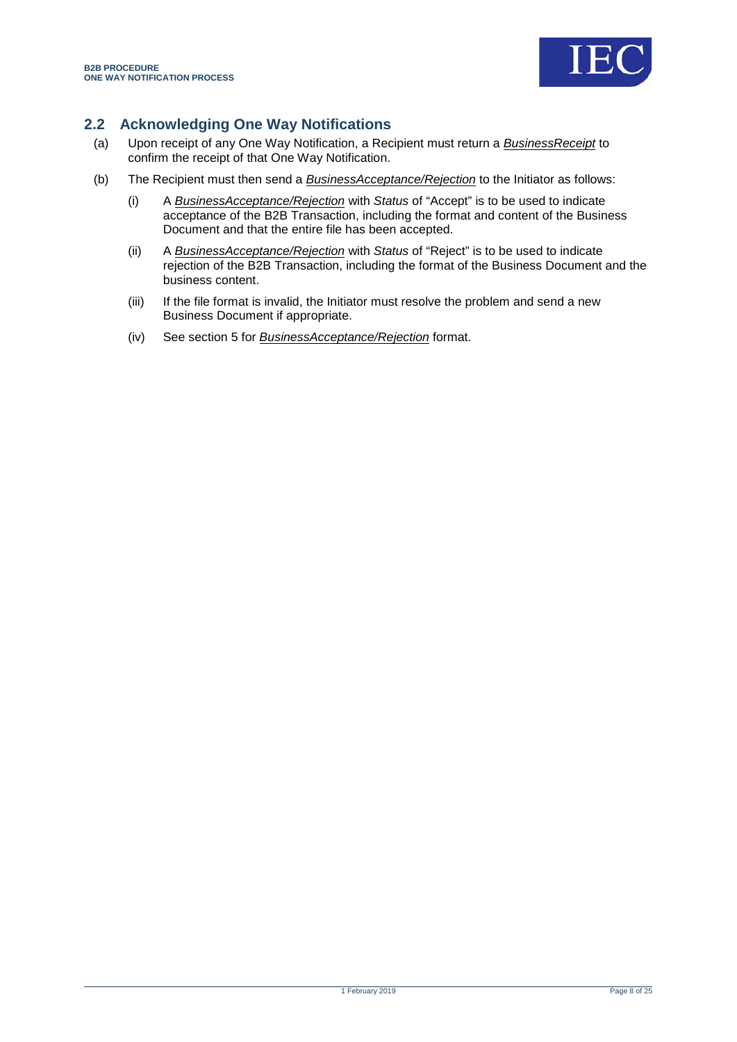

### <span id="page-7-0"></span>**2.2 Acknowledging One Way Notifications**

- (a) Upon receipt of any One Way Notification, a Recipient must return a *BusinessReceipt* to confirm the receipt of that One Way Notification.
- (b) The Recipient must then send a *BusinessAcceptance/Rejection* to the Initiator as follows:
	- (i) A *BusinessAcceptance/Rejection* with *Status* of "Accept" is to be used to indicate acceptance of the B2B Transaction, including the format and content of the Business Document and that the entire file has been accepted.
	- (ii) A *BusinessAcceptance/Rejection* with *Status* of "Reject" is to be used to indicate rejection of the B2B Transaction, including the format of the Business Document and the business content.
	- (iii) If the file format is invalid, the Initiator must resolve the problem and send a new Business Document if appropriate.
	- (iv) See section [5](#page-23-0) for *BusinessAcceptance/Rejection* format.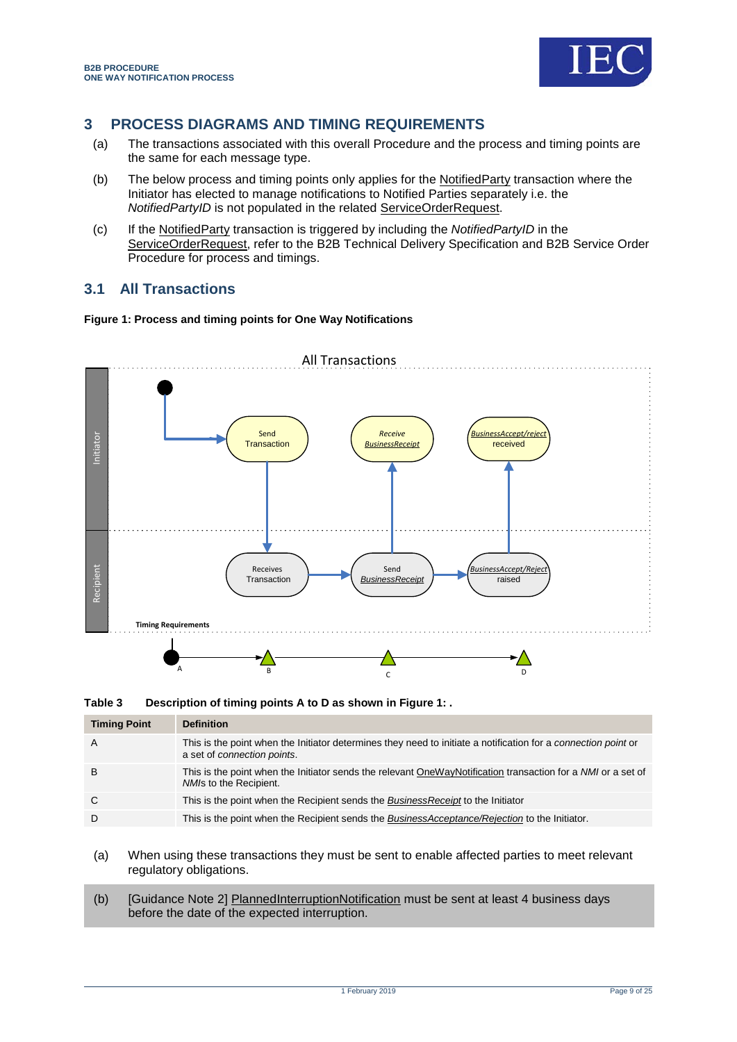

### <span id="page-8-0"></span>**3 PROCESS DIAGRAMS AND TIMING REQUIREMENTS**

- (a) The transactions associated with this overall Procedure and the process and timing points are the same for each message type.
- (b) The below process and timing points only applies for the NotifiedParty transaction where the Initiator has elected to manage notifications to Notified Parties separately i.e. the *NotifiedPartyID* is not populated in the related ServiceOrderRequest.
- (c) If the NotifiedParty transaction is triggered by including the *NotifiedPartyID* in the ServiceOrderRequest, refer to the B2B Technical Delivery Specification and B2B Service Order Procedure for process and timings.

### <span id="page-8-1"></span>**3.1 All Transactions**

#### <span id="page-8-3"></span>**Figure 1: Process and timing points for One Way Notifications**



<span id="page-8-2"></span>**Table 3 Description of timing points A to D as shown i[n Figure 1: .](#page-8-3)**

| <b>Timing Point</b> | <b>Definition</b>                                                                                                                             |
|---------------------|-----------------------------------------------------------------------------------------------------------------------------------------------|
| A                   | This is the point when the Initiator determines they need to initiate a notification for a connection point or<br>a set of connection points. |
| в                   | This is the point when the Initiator sends the relevant OneWayNotification transaction for a NMI or a set of<br>NM/s to the Recipient.        |
| C                   | This is the point when the Recipient sends the <i>BusinessReceipt</i> to the Initiator                                                        |
| D                   | This is the point when the Recipient sends the BusinessAcceptance/Rejection to the Initiator.                                                 |

- (a) When using these transactions they must be sent to enable affected parties to meet relevant regulatory obligations.
- (b) [Guidance Note 2] PlannedInterruptionNotification must be sent at least 4 business days before the date of the expected interruption.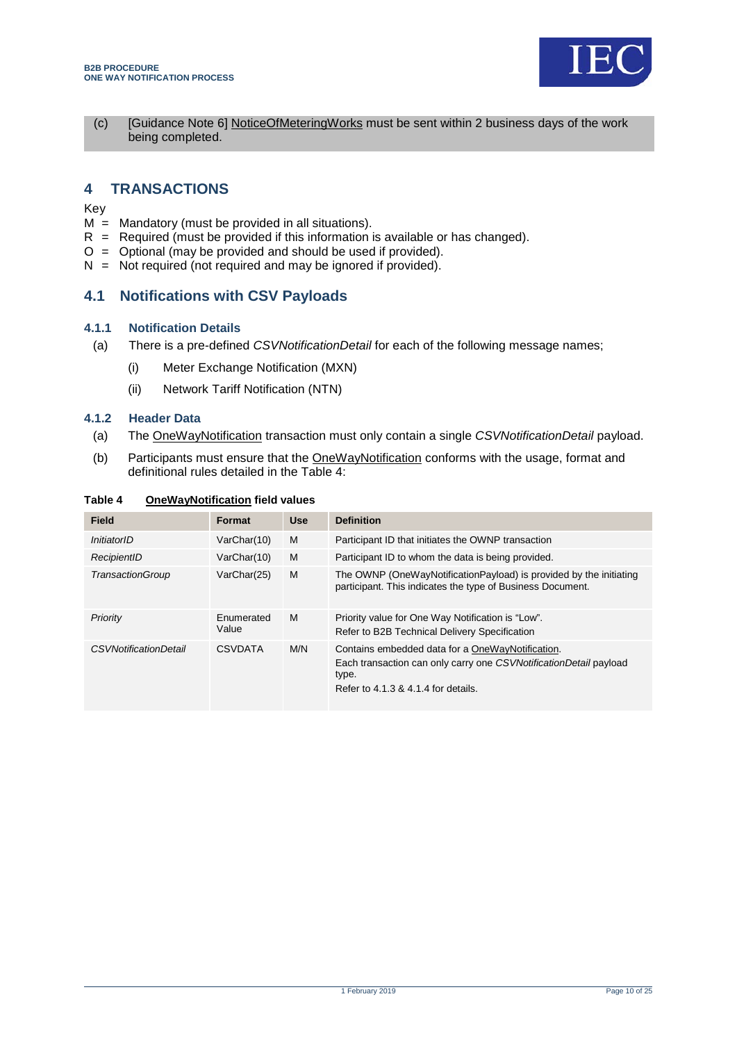

(c) [Guidance Note 6] NoticeOfMeteringWorks must be sent within 2 business days of the work being completed.

### <span id="page-9-0"></span>**4 TRANSACTIONS**

Key

- $M =$  Mandatory (must be provided in all situations).
- $R$  = Required (must be provided if this information is available or has changed).
- $O =$  Optional (may be provided and should be used if provided).
- $N = Not required (not required and may be ignored if provided).$

### <span id="page-9-1"></span>**4.1 Notifications with CSV Payloads**

#### **4.1.1 Notification Details**

- (a) There is a pre-defined *CSVNotificationDetail* for each of the following message names;
	- (i) Meter Exchange Notification (MXN)
	- (ii) Network Tariff Notification (NTN)

#### **4.1.2 Header Data**

- (a) The OneWayNotification transaction must only contain a single *CSVNotificationDetail* payload.
- (b) Participants must ensure that the OneWayNotification conforms with the usage, format and definitional rules detailed in the Table 4:

| <b>Field</b>                 | Format              | <b>Use</b> | <b>Definition</b>                                                                                                                                                     |
|------------------------------|---------------------|------------|-----------------------------------------------------------------------------------------------------------------------------------------------------------------------|
| InitiatorID                  | VarChar(10)         | M          | Participant ID that initiates the OWNP transaction                                                                                                                    |
| RecipientID                  | VarChar(10)         | M          | Participant ID to whom the data is being provided.                                                                                                                    |
| TransactionGroup             | VarChar(25)         | M          | The OWNP (OneWayNotificationPayload) is provided by the initiating<br>participant. This indicates the type of Business Document.                                      |
| Priority                     | Enumerated<br>Value | M          | Priority value for One Way Notification is "Low".<br>Refer to B2B Technical Delivery Specification                                                                    |
| <b>CSVNotificationDetail</b> | <b>CSVDATA</b>      | M/N        | Contains embedded data for a OneWayNotification.<br>Each transaction can only carry one CSVNotificationDetail payload<br>type.<br>Refer to 4.1.3 & 4.1.4 for details. |

<span id="page-9-2"></span>**Table 4 OneWayNotification field values**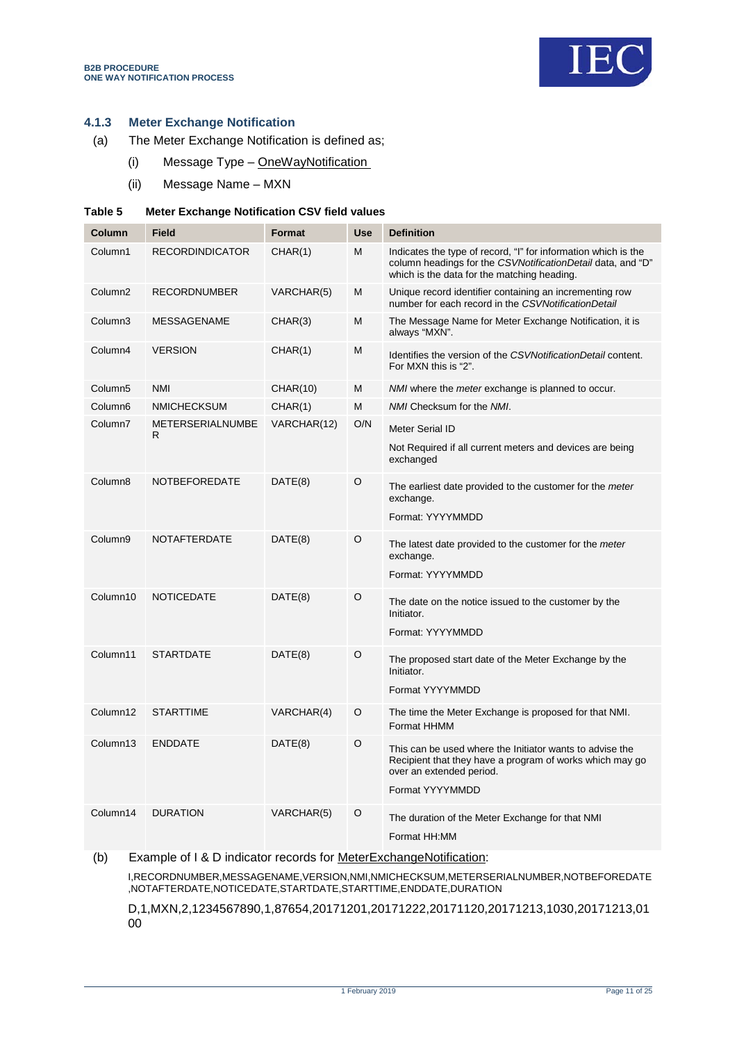

#### **4.1.3 Meter Exchange Notification**

- (a) The Meter Exchange Notification is defined as;
	- (i) Message Type OneWayNotification
	- (ii) Message Name MXN

#### <span id="page-10-0"></span>**Table 5 Meter Exchange Notification CSV field values**

| Column              | <b>Field</b>                  | <b>Format</b> | <b>Use</b> | <b>Definition</b>                                                                                                                                                            |
|---------------------|-------------------------------|---------------|------------|------------------------------------------------------------------------------------------------------------------------------------------------------------------------------|
| Column1             | <b>RECORDINDICATOR</b>        | CHAR(1)       | М          | Indicates the type of record, "I" for information which is the<br>column headings for the CSVNotificationDetail data, and "D"<br>which is the data for the matching heading. |
| Column <sub>2</sub> | <b>RECORDNUMBER</b>           | VARCHAR(5)    | M          | Unique record identifier containing an incrementing row<br>number for each record in the CSVNotificationDetail                                                               |
| Column3             | <b>MESSAGENAME</b>            | CHAR(3)       | M          | The Message Name for Meter Exchange Notification, it is<br>always "MXN".                                                                                                     |
| Column4             | <b>VERSION</b>                | CHAR(1)       | М          | Identifies the version of the CSVNotificationDetail content.<br>For MXN this is "2".                                                                                         |
| Column <sub>5</sub> | <b>NMI</b>                    | CHAR(10)      | M          | NMI where the meter exchange is planned to occur.                                                                                                                            |
| Column <sub>6</sub> | <b>NMICHECKSUM</b>            | CHAR(1)       | М          | NMI Checksum for the NMI.                                                                                                                                                    |
| Column7             | <b>METERSERIALNUMBE</b><br>R. | VARCHAR(12)   | O/N        | <b>Meter Serial ID</b>                                                                                                                                                       |
|                     |                               |               |            | Not Required if all current meters and devices are being<br>exchanged                                                                                                        |
| Column <sub>8</sub> | <b>NOTBEFOREDATE</b>          | DATE(8)       | O          | The earliest date provided to the customer for the meter<br>exchange.                                                                                                        |
|                     |                               |               |            | Format: YYYYMMDD                                                                                                                                                             |
| Column9             | <b>NOTAFTERDATE</b>           | DATE(8)       | O          | The latest date provided to the customer for the meter<br>exchange.                                                                                                          |
|                     |                               |               |            | Format: YYYYMMDD                                                                                                                                                             |
| Column10            | <b>NOTICEDATE</b>             | DATE(8)       | $\circ$    | The date on the notice issued to the customer by the<br>Initiator.                                                                                                           |
|                     |                               |               |            | Format: YYYYMMDD                                                                                                                                                             |
| Column11            | <b>STARTDATE</b>              | DATE(8)       | O          | The proposed start date of the Meter Exchange by the<br>Initiator.                                                                                                           |
|                     |                               |               |            | Format YYYYMMDD                                                                                                                                                              |
| Column12            | <b>STARTTIME</b>              | VARCHAR(4)    | O          | The time the Meter Exchange is proposed for that NMI.<br>Format HHMM                                                                                                         |
| Column13            | <b>ENDDATE</b>                | DATE(8)       | O          | This can be used where the Initiator wants to advise the<br>Recipient that they have a program of works which may go<br>over an extended period.<br>Format YYYYMMDD          |
| Column14            | <b>DURATION</b>               | VARCHAR(5)    | $\circ$    | The duration of the Meter Exchange for that NMI<br>Format HH:MM                                                                                                              |

(b) Example of I & D indicator records for MeterExchangeNotification:

I,RECORDNUMBER,MESSAGENAME,VERSION,NMI,NMICHECKSUM,METERSERIALNUMBER,NOTBEFOREDATE ,NOTAFTERDATE,NOTICEDATE,STARTDATE,STARTTIME,ENDDATE,DURATION

D,1,MXN,2,1234567890,1,87654,20171201,20171222,20171120,20171213,1030,20171213,01 00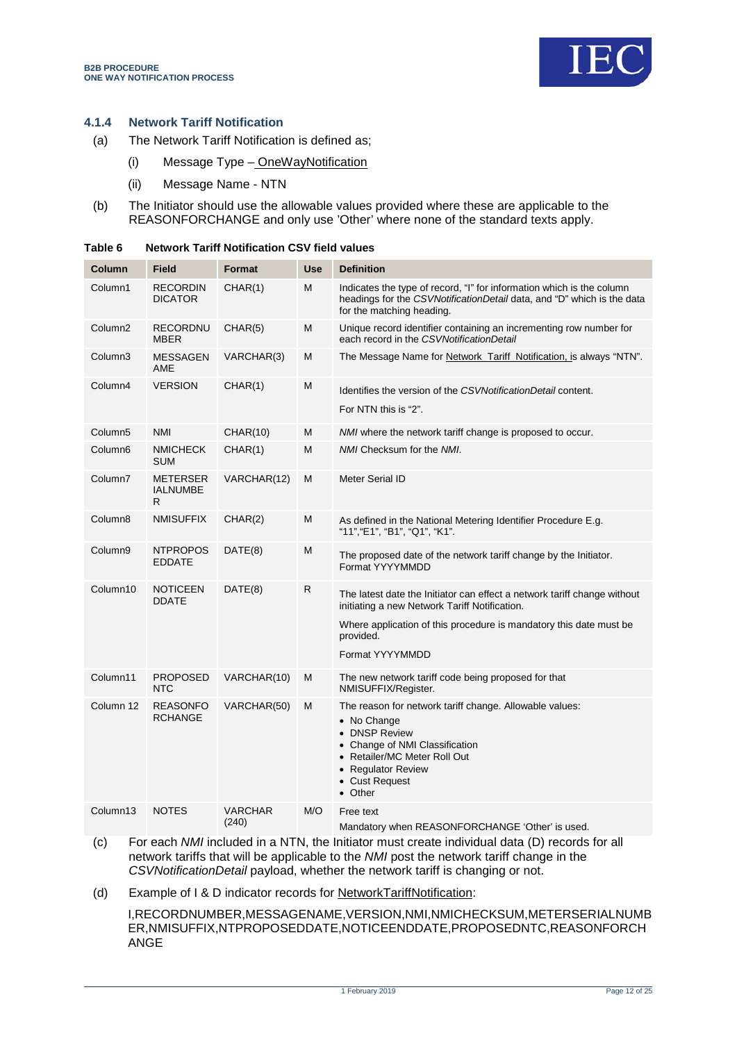

#### **4.1.4 Network Tariff Notification**

- (a) The Network Tariff Notification is defined as;
	- (i) Message Type OneWayNotification
	- (ii) Message Name NTN
- (b) The Initiator should use the allowable values provided where these are applicable to the REASONFORCHANGE and only use 'Other' where none of the standard texts apply.

| Column              | Field                             | Format                  | <b>Use</b> | <b>Definition</b>                                                                                                                                                                                            |
|---------------------|-----------------------------------|-------------------------|------------|--------------------------------------------------------------------------------------------------------------------------------------------------------------------------------------------------------------|
| Column1             | RECORDIN<br><b>DICATOR</b>        | CHAR(1)                 | M          | Indicates the type of record, "I" for information which is the column<br>headings for the CSVNotificationDetail data, and "D" which is the data<br>for the matching heading.                                 |
| Column <sub>2</sub> | RECORDNU<br><b>MBER</b>           | CHAR(5)                 | M          | Unique record identifier containing an incrementing row number for<br>each record in the CSVNotificationDetail                                                                                               |
| Column3             | <b>MESSAGEN</b><br>AME            | VARCHAR(3)              | M          | The Message Name for Network_Tariff_Notification, is always "NTN".                                                                                                                                           |
| Column4             | <b>VERSION</b>                    | CHAR(1)                 | M          | Identifies the version of the CSVNotificationDetail content.<br>For NTN this is "2".                                                                                                                         |
| Column <sub>5</sub> | <b>NMI</b>                        | <b>CHAR(10)</b>         | M          | NMI where the network tariff change is proposed to occur.                                                                                                                                                    |
| Column6             | <b>NMICHECK</b><br><b>SUM</b>     | CHAR(1)                 | M          | NMI Checksum for the NMI.                                                                                                                                                                                    |
| Column7             | METERSER<br>IALNUMBE<br>R         | VARCHAR(12)             | M          | <b>Meter Serial ID</b>                                                                                                                                                                                       |
| Column8             | <b>NMISUFFIX</b>                  | CHAR(2)                 | М          | As defined in the National Metering Identifier Procedure E.g.<br>"11", "E1", "B1", "Q1", "K1".                                                                                                               |
| Column9             | <b>NTPROPOS</b><br><b>EDDATE</b>  | DATE(8)                 | М          | The proposed date of the network tariff change by the Initiator.<br>Format YYYYMMDD                                                                                                                          |
| Column10            | <b>NOTICEEN</b><br><b>DDATE</b>   | DATE(8)                 | R          | The latest date the Initiator can effect a network tariff change without<br>initiating a new Network Tariff Notification.<br>Where application of this procedure is mandatory this date must be<br>provided. |
|                     |                                   |                         |            | Format YYYYMMDD                                                                                                                                                                                              |
| Column11            | <b>PROPOSED</b><br><b>NTC</b>     | VARCHAR(10)             | M          | The new network tariff code being proposed for that<br>NMISUFFIX/Register.                                                                                                                                   |
| Column 12           | <b>REASONFO</b><br><b>RCHANGE</b> | VARCHAR(50)             | M          | The reason for network tariff change. Allowable values:<br>• No Change<br>• DNSP Review<br>• Change of NMI Classification<br>• Retailer/MC Meter Roll Out<br>• Regulator Review<br>• Cust Request<br>• Other |
| Column13            | <b>NOTES</b>                      | <b>VARCHAR</b><br>(240) | M/O        | Free text<br>Mandatory when REASONFORCHANGE 'Other' is used.                                                                                                                                                 |

#### <span id="page-11-0"></span>**Table 6 Network Tariff Notification CSV field values**

(c) For each *NMI* included in a NTN, the Initiator must create individual data (D) records for all network tariffs that will be applicable to the *NMI* post the network tariff change in the *CSVNotificationDetail* payload, whether the network tariff is changing or not.

(d) Example of I & D indicator records for NetworkTariffNotification:

I,RECORDNUMBER,MESSAGENAME,VERSION,NMI,NMICHECKSUM,METERSERIALNUMB ER,NMISUFFIX,NTPROPOSEDDATE,NOTICEENDDATE,PROPOSEDNTC,REASONFORCH ANGE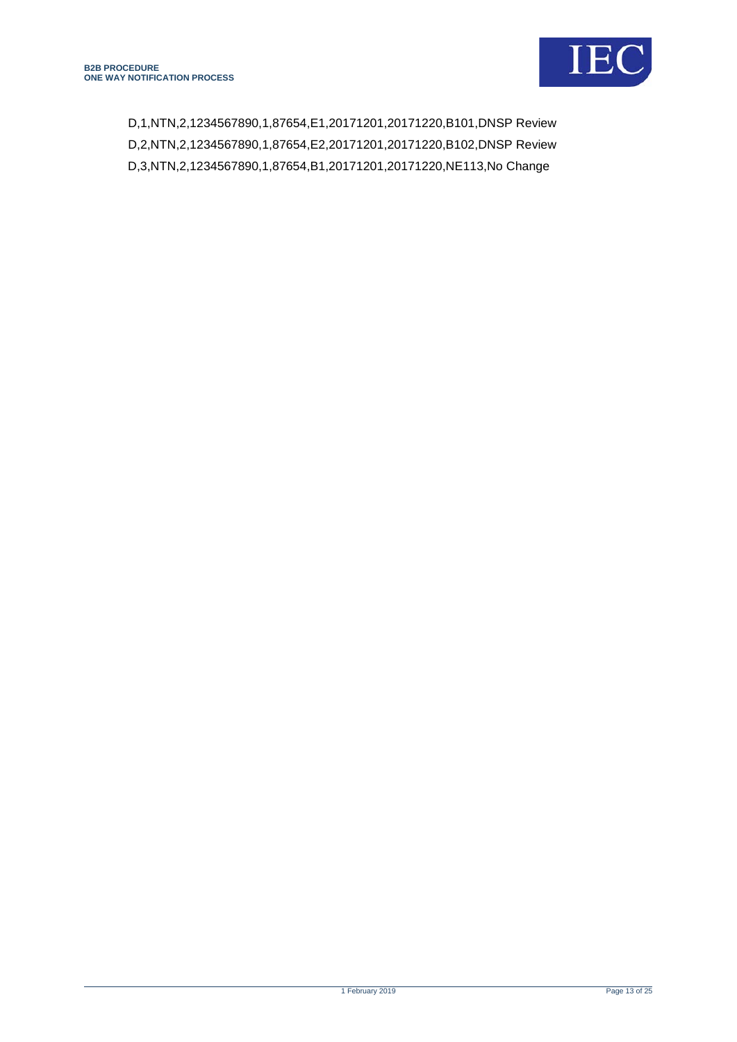D,1,NTN,2,1234567890,1,87654,E1,20171201,20171220,B101,DNSP Review D,2,NTN,2,1234567890,1,87654,E2,20171201,20171220,B102,DNSP Review D,3,NTN,2,1234567890,1,87654,B1,20171201,20171220,NE113,No Change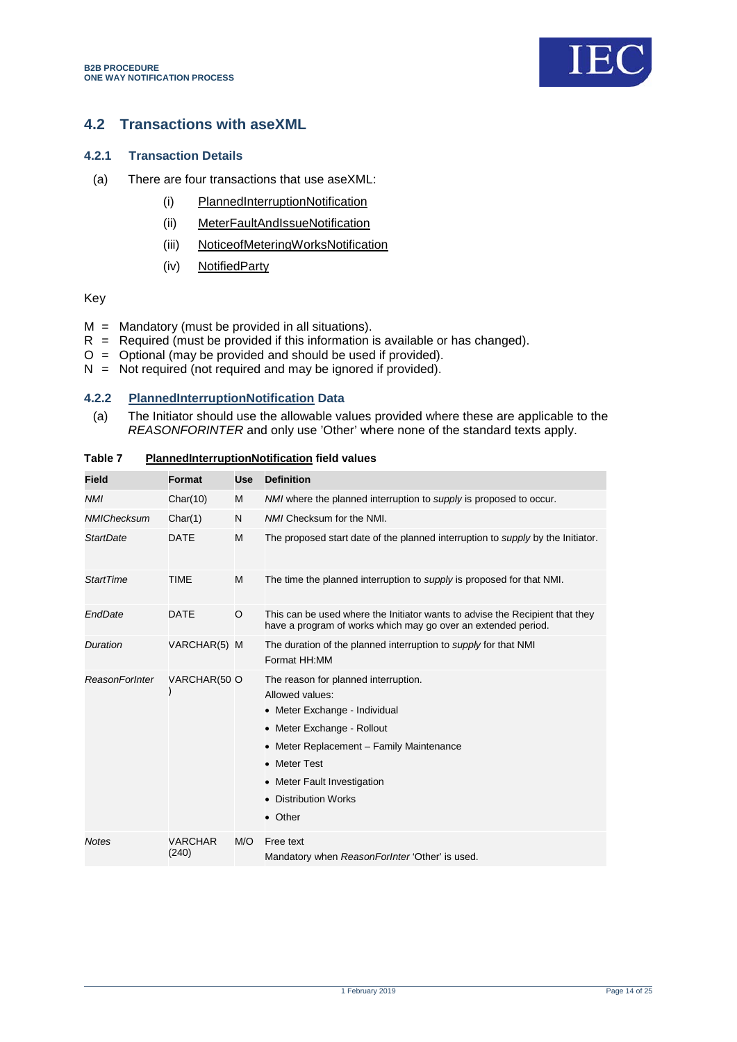

### <span id="page-13-0"></span>**4.2 Transactions with aseXML**

#### **4.2.1 Transaction Details**

- (a) There are four transactions that use aseXML:
	- (i) PlannedInterruptionNotification
	- (ii) MeterFaultAndIssueNotification
	- (iii) NoticeofMeteringWorksNotification
	- (iv) NotifiedParty

#### Key

- $M =$  Mandatory (must be provided in all situations).
- $R$  = Required (must be provided if this information is available or has changed).
- O = Optional (may be provided and should be used if provided).
- $N = Not required (not required and may be ignored if provided).$

#### **4.2.2 PlannedInterruptionNotification Data**

(a) The Initiator should use the allowable values provided where these are applicable to the

<span id="page-13-1"></span>

| (a)<br>The initiator should use the allowable values provided where these are applicable to the<br>REASONFORINTER and only use 'Other' where none of the standard texts apply. |                         |            |                                                                                                                                                                                                                                                      |  |  |
|--------------------------------------------------------------------------------------------------------------------------------------------------------------------------------|-------------------------|------------|------------------------------------------------------------------------------------------------------------------------------------------------------------------------------------------------------------------------------------------------------|--|--|
| Table 7<br><b>PlannedInterruptionNotification field values</b>                                                                                                                 |                         |            |                                                                                                                                                                                                                                                      |  |  |
| <b>Field</b>                                                                                                                                                                   | Format                  | <b>Use</b> | <b>Definition</b>                                                                                                                                                                                                                                    |  |  |
| <b>NMI</b>                                                                                                                                                                     | Char(10)                | M          | NMI where the planned interruption to supply is proposed to occur.                                                                                                                                                                                   |  |  |
| <b>NMIChecksum</b>                                                                                                                                                             | Char(1)                 | N          | NMI Checksum for the NMI.                                                                                                                                                                                                                            |  |  |
| <b>StartDate</b>                                                                                                                                                               | <b>DATE</b>             | М          | The proposed start date of the planned interruption to <i>supply</i> by the Initiator.                                                                                                                                                               |  |  |
| <b>StartTime</b>                                                                                                                                                               | <b>TIME</b>             | М          | The time the planned interruption to supply is proposed for that NMI.                                                                                                                                                                                |  |  |
| EndDate                                                                                                                                                                        | <b>DATE</b>             | O          | This can be used where the Initiator wants to advise the Recipient that they<br>have a program of works which may go over an extended period.                                                                                                        |  |  |
| Duration                                                                                                                                                                       | VARCHAR(5) M            |            | The duration of the planned interruption to supply for that NMI<br>Format HH:MM                                                                                                                                                                      |  |  |
| <b>ReasonForInter</b>                                                                                                                                                          | VARCHAR(50 O            |            | The reason for planned interruption.<br>Allowed values:<br>• Meter Exchange - Individual<br>• Meter Exchange - Rollout<br>• Meter Replacement - Family Maintenance<br>• Meter Test<br>• Meter Fault Investigation<br>• Distribution Works<br>• Other |  |  |
| <b>Notes</b>                                                                                                                                                                   | <b>VARCHAR</b><br>(240) | M/O        | Free text<br>Mandatory when ReasonForInter 'Other' is used.                                                                                                                                                                                          |  |  |
|                                                                                                                                                                                |                         |            |                                                                                                                                                                                                                                                      |  |  |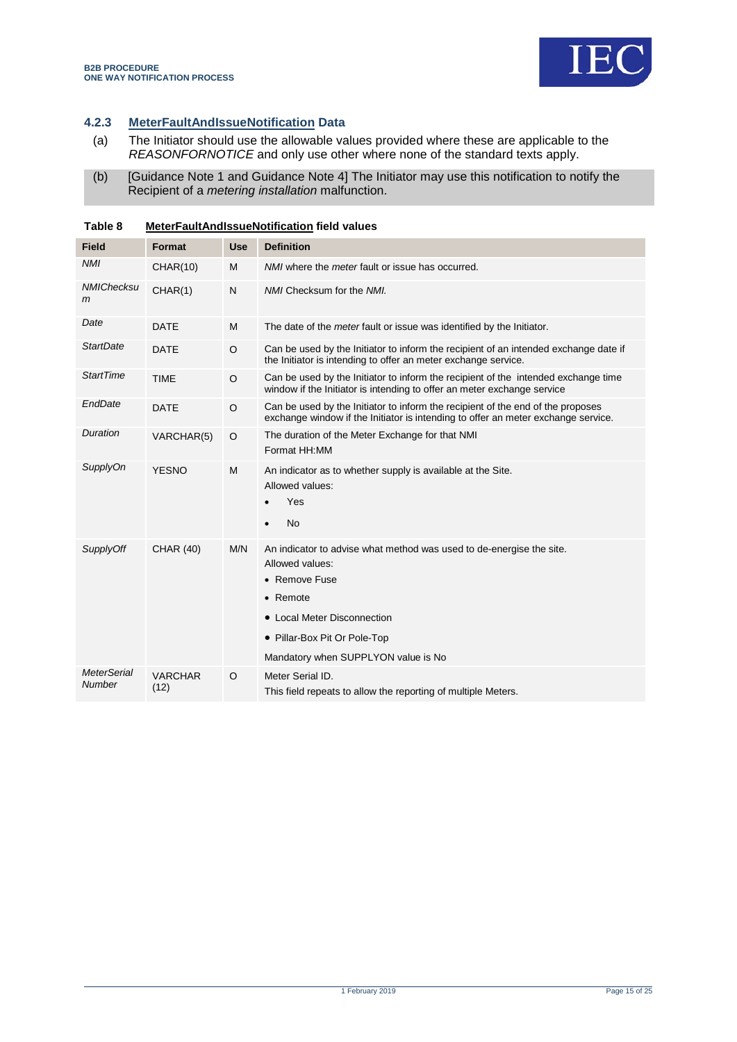

### **4.2.3 MeterFaultAndIssueNotification Data**

- (a) The Initiator should use the allowable values provided where these are applicable to the *REASONFORNOTICE* and only use other where none of the standard texts apply.
- (b) [Guidance Note 1 and Guidance Note 4] The Initiator may use this notification to notify the Recipient of a *metering installation* malfunction.

| <b>Field</b>                 | Format                 | <b>Use</b> | <b>Definition</b>                                                                                                                                                                                                          |  |
|------------------------------|------------------------|------------|----------------------------------------------------------------------------------------------------------------------------------------------------------------------------------------------------------------------------|--|
| <b>NMI</b>                   | CHAR(10)               | M          | NMI where the <i>meter</i> fault or issue has occurred.                                                                                                                                                                    |  |
| <b>NMIChecksu</b><br>m       | CHAR(1)                | N          | NMI Checksum for the NMI.                                                                                                                                                                                                  |  |
| Date                         | <b>DATE</b>            | M          | The date of the <i>meter</i> fault or issue was identified by the Initiator.                                                                                                                                               |  |
| <b>StartDate</b>             | <b>DATE</b>            | $\circ$    | Can be used by the Initiator to inform the recipient of an intended exchange date if<br>the Initiator is intending to offer an meter exchange service.                                                                     |  |
| <b>StartTime</b>             | <b>TIME</b>            | $\circ$    | Can be used by the Initiator to inform the recipient of the intended exchange time<br>window if the Initiator is intending to offer an meter exchange service                                                              |  |
| EndDate                      | <b>DATE</b>            | $\circ$    | Can be used by the Initiator to inform the recipient of the end of the proposes<br>exchange window if the Initiator is intending to offer an meter exchange service.                                                       |  |
| Duration                     | VARCHAR(5)             | $\circ$    | The duration of the Meter Exchange for that NMI<br>Format HH:MM                                                                                                                                                            |  |
| SupplyOn                     | <b>YESNO</b>           | M          | An indicator as to whether supply is available at the Site.<br>Allowed values:<br>Yes<br><b>No</b><br>$\bullet$                                                                                                            |  |
| <b>SupplyOff</b>             | <b>CHAR (40)</b>       | M/N        | An indicator to advise what method was used to de-energise the site.<br>Allowed values:<br>• Remove Fuse<br>• Remote<br>• Local Meter Disconnection<br>· Pillar-Box Pit Or Pole-Top<br>Mandatory when SUPPLYON value is No |  |
| <b>MeterSerial</b><br>Number | <b>VARCHAR</b><br>(12) | $\circ$    | Meter Serial ID.<br>This field repeats to allow the reporting of multiple Meters.                                                                                                                                          |  |

<span id="page-14-0"></span>**Table 8 MeterFaultAndIssueNotification field values**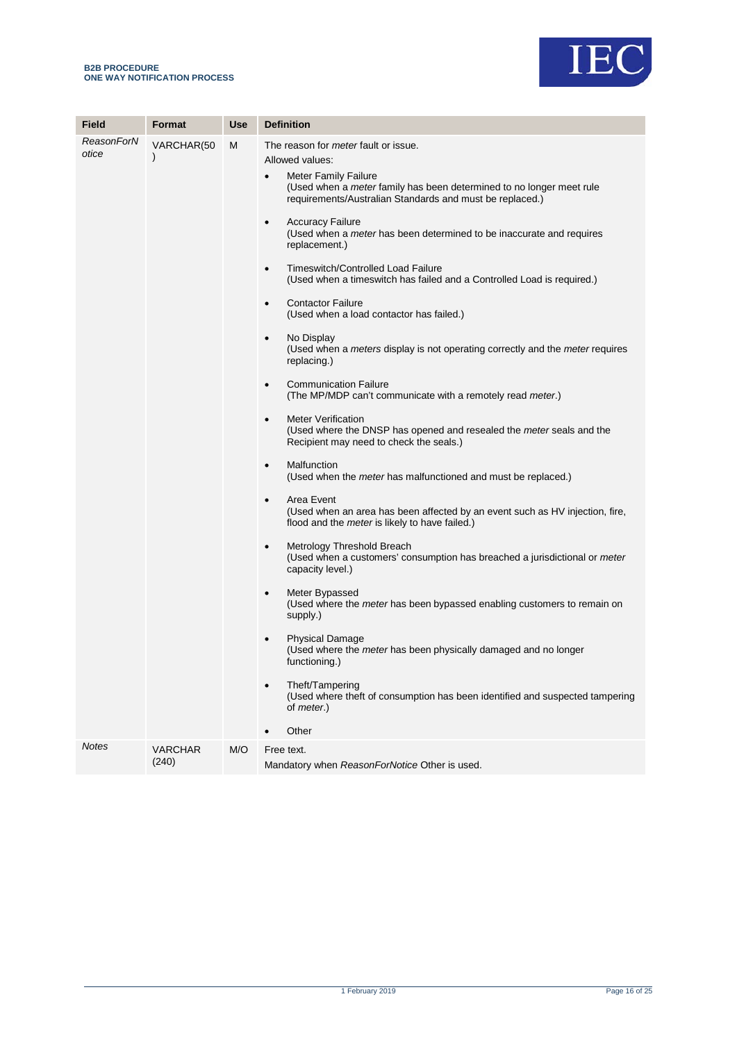

| <b>Field</b>        | Format                      | <b>Use</b> | <b>Definition</b>                                                                                                                                                                                                                                                                                                                                                                                                                                                                                                                                                                                                                                                                                                                                                                                                                                                                                                                                                                                                                                                                                                                                                                                                                                                                                                                                                                                                                                                                                                                                                                                                                                                                                                                                                                                                                                                  |
|---------------------|-----------------------------|------------|--------------------------------------------------------------------------------------------------------------------------------------------------------------------------------------------------------------------------------------------------------------------------------------------------------------------------------------------------------------------------------------------------------------------------------------------------------------------------------------------------------------------------------------------------------------------------------------------------------------------------------------------------------------------------------------------------------------------------------------------------------------------------------------------------------------------------------------------------------------------------------------------------------------------------------------------------------------------------------------------------------------------------------------------------------------------------------------------------------------------------------------------------------------------------------------------------------------------------------------------------------------------------------------------------------------------------------------------------------------------------------------------------------------------------------------------------------------------------------------------------------------------------------------------------------------------------------------------------------------------------------------------------------------------------------------------------------------------------------------------------------------------------------------------------------------------------------------------------------------------|
| ReasonForN<br>otice | VARCHAR(50<br>$\mathcal{E}$ | M          | The reason for <i>meter</i> fault or issue.<br>Allowed values:<br><b>Meter Family Failure</b><br>$\bullet$<br>(Used when a <i>meter</i> family has been determined to no longer meet rule<br>requirements/Australian Standards and must be replaced.)<br><b>Accuracy Failure</b><br>$\bullet$<br>(Used when a <i>meter</i> has been determined to be inaccurate and requires<br>replacement.)<br>Timeswitch/Controlled Load Failure<br>$\bullet$<br>(Used when a timeswitch has failed and a Controlled Load is required.)<br><b>Contactor Failure</b><br>$\bullet$<br>(Used when a load contactor has failed.)<br>No Display<br>$\bullet$<br>(Used when a <i>meters</i> display is not operating correctly and the <i>meter</i> requires<br>replacing.)<br><b>Communication Failure</b><br>$\bullet$<br>(The MP/MDP can't communicate with a remotely read meter.)<br><b>Meter Verification</b><br>$\bullet$<br>(Used where the DNSP has opened and resealed the meter seals and the<br>Recipient may need to check the seals.)<br>Malfunction<br>$\bullet$<br>(Used when the <i>meter</i> has malfunctioned and must be replaced.)<br>Area Event<br>$\bullet$<br>(Used when an area has been affected by an event such as HV injection, fire,<br>flood and the <i>meter</i> is likely to have failed.)<br>Metrology Threshold Breach<br>٠<br>(Used when a customers' consumption has breached a jurisdictional or <i>meter</i><br>capacity level.)<br>Meter Bypassed<br>$\bullet$<br>(Used where the <i>meter</i> has been bypassed enabling customers to remain on<br>supply.)<br><b>Physical Damage</b><br>$\bullet$<br>(Used where the <i>meter</i> has been physically damaged and no longer<br>functioning.)<br>Theft/Tampering<br>$\bullet$<br>(Used where theft of consumption has been identified and suspected tampering<br>of <i>meter.</i> )<br>Other |
| <b>Notes</b>        | <b>VARCHAR</b><br>(240)     | M/O        | Free text.<br>Mandatory when ReasonForNotice Other is used.                                                                                                                                                                                                                                                                                                                                                                                                                                                                                                                                                                                                                                                                                                                                                                                                                                                                                                                                                                                                                                                                                                                                                                                                                                                                                                                                                                                                                                                                                                                                                                                                                                                                                                                                                                                                        |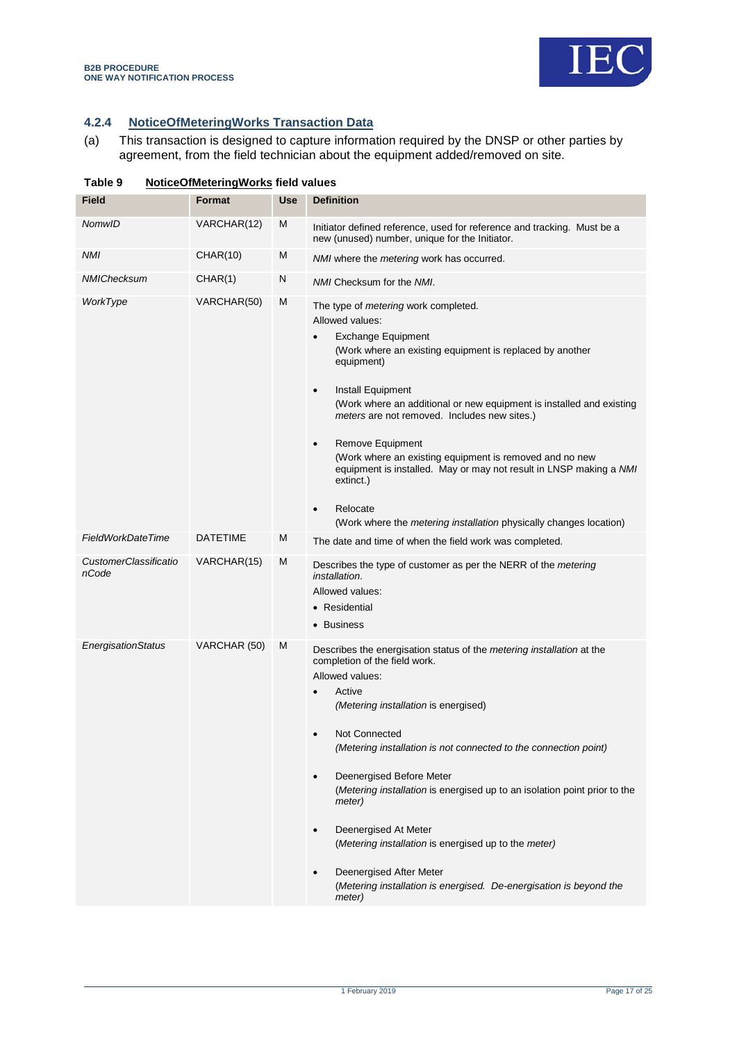

### **4.2.4 NoticeOfMeteringWorks Transaction Data**

(a) This transaction is designed to capture information required by the DNSP or other parties by agreement, from the field technician about the equipment added/removed on site.

| Table 9<br>NoticeOfMeteringWorks field values |                 |            |                                                                                                                                                                                                                                                                                                                                                                                                                                                                                                                                                                                                                             |
|-----------------------------------------------|-----------------|------------|-----------------------------------------------------------------------------------------------------------------------------------------------------------------------------------------------------------------------------------------------------------------------------------------------------------------------------------------------------------------------------------------------------------------------------------------------------------------------------------------------------------------------------------------------------------------------------------------------------------------------------|
| Field                                         | Format          | <b>Use</b> | <b>Definition</b>                                                                                                                                                                                                                                                                                                                                                                                                                                                                                                                                                                                                           |
| NomwID                                        | VARCHAR(12)     | M          | Initiator defined reference, used for reference and tracking. Must be a<br>new (unused) number, unique for the Initiator.                                                                                                                                                                                                                                                                                                                                                                                                                                                                                                   |
| NMI                                           | CHAR(10)        | M          | NMI where the <i>metering</i> work has occurred.                                                                                                                                                                                                                                                                                                                                                                                                                                                                                                                                                                            |
| NMIChecksum                                   | CHAR(1)         | N          | NMI Checksum for the NMI.                                                                                                                                                                                                                                                                                                                                                                                                                                                                                                                                                                                                   |
| WorkType                                      | VARCHAR(50)     | M          | The type of <i>metering</i> work completed.<br>Allowed values:<br><b>Exchange Equipment</b><br>(Work where an existing equipment is replaced by another<br>equipment)<br>Install Equipment<br>$\bullet$<br>(Work where an additional or new equipment is installed and existing<br>meters are not removed. Includes new sites.)<br><b>Remove Equipment</b><br>$\bullet$<br>(Work where an existing equipment is removed and no new<br>equipment is installed. May or may not result in LNSP making a NMI<br>extinct.)<br>Relocate<br>$\bullet$<br>(Work where the <i>metering installation</i> physically changes location) |
| FieldWorkDateTime                             | <b>DATETIME</b> | Μ          | The date and time of when the field work was completed.                                                                                                                                                                                                                                                                                                                                                                                                                                                                                                                                                                     |
| <i>CustomerClassificatio</i><br>nCode         | VARCHAR(15)     | M          | Describes the type of customer as per the NERR of the <i>metering</i><br>installation.<br>Allowed values:<br>• Residential<br>• Business                                                                                                                                                                                                                                                                                                                                                                                                                                                                                    |
| EnergisationStatus                            | VARCHAR (50)    | M          | Describes the energisation status of the metering installation at the<br>completion of the field work.<br>Allowed values:<br>Active<br>(Metering installation is energised)<br>Not Connected<br>(Metering installation is not connected to the connection point)<br>Deenergised Before Meter<br>$\bullet$<br>(Metering installation is energised up to an isolation point prior to the<br>meter)<br>Deenergised At Meter<br>$\bullet$<br>(Metering installation is energised up to the meter)<br>Deenergised After Meter<br>(Metering installation is energised. De-energisation is beyond the<br>meter)                    |

<span id="page-16-0"></span>**Table 9 NoticeOfMeteringWorks field values**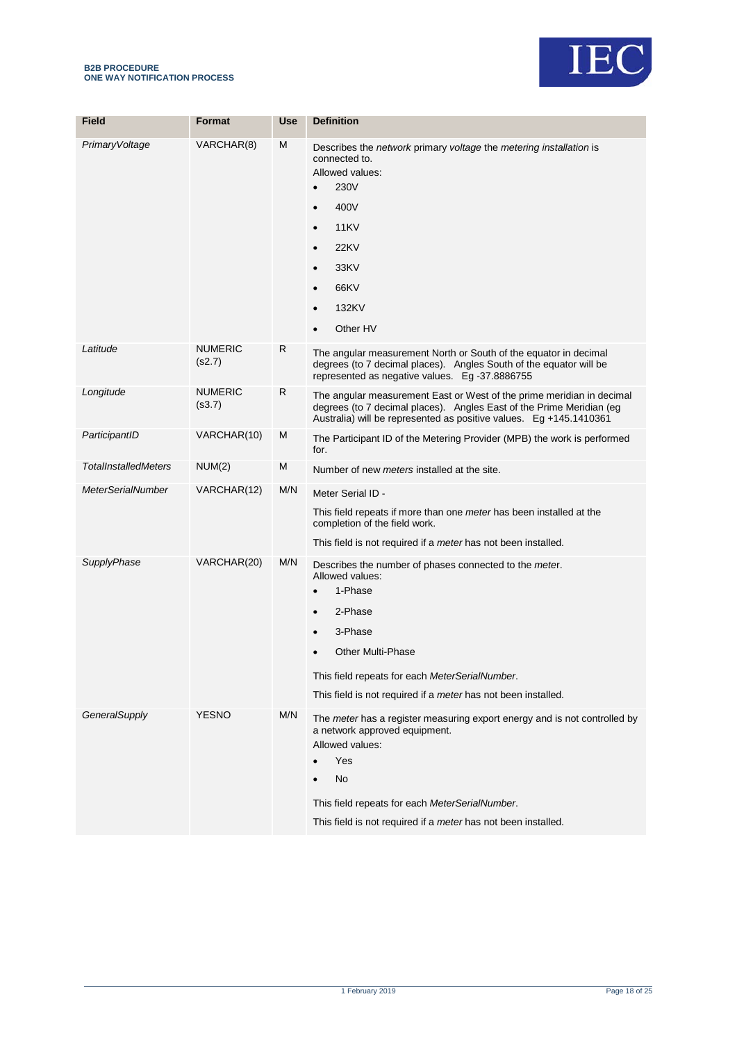



| <b>Field</b>                | Format                   | <b>Use</b> | <b>Definition</b>                                                                                                                                                                                                                                                                                |
|-----------------------------|--------------------------|------------|--------------------------------------------------------------------------------------------------------------------------------------------------------------------------------------------------------------------------------------------------------------------------------------------------|
| PrimaryVoltage              | VARCHAR(8)               | M          | Describes the network primary voltage the metering installation is<br>connected to.<br>Allowed values:<br>230V<br>$\bullet$<br>400V<br>$\bullet$<br><b>11KV</b><br>$\bullet$<br><b>22KV</b><br>$\bullet$<br>33KV<br>$\bullet$<br>66KV<br>$\bullet$<br>132KV<br>$\bullet$<br>Other HV             |
| Latitude                    | <b>NUMERIC</b><br>(s2.7) | R          | The angular measurement North or South of the equator in decimal<br>degrees (to 7 decimal places). Angles South of the equator will be<br>represented as negative values. Eg -37.8886755                                                                                                         |
| Longitude                   | NUMERIC<br>(s3.7)        | R          | The angular measurement East or West of the prime meridian in decimal<br>degrees (to 7 decimal places). Angles East of the Prime Meridian (eg<br>Australia) will be represented as positive values. Eg +145.1410361                                                                              |
| ParticipantID               | VARCHAR(10)              | M          | The Participant ID of the Metering Provider (MPB) the work is performed<br>for.                                                                                                                                                                                                                  |
| <b>TotalInstalledMeters</b> | NUM(2)                   | M          | Number of new <i>meters</i> installed at the site.                                                                                                                                                                                                                                               |
| <b>MeterSerialNumber</b>    | VARCHAR(12)              | M/N        | Meter Serial ID -<br>This field repeats if more than one <i>meter</i> has been installed at the<br>completion of the field work.<br>This field is not required if a <i>meter</i> has not been installed.                                                                                         |
| SupplyPhase                 | VARCHAR(20)              | M/N        | Describes the number of phases connected to the meter.<br>Allowed values:<br>1-Phase<br>$\bullet$<br>2-Phase<br>$\bullet$<br>3-Phase<br>$\bullet$<br><b>Other Multi-Phase</b><br>This field repeats for each MeterSerialNumber.<br>This field is not required if a meter has not been installed. |
| GeneralSupply               | <b>YESNO</b>             | M/N        | The meter has a register measuring export energy and is not controlled by<br>a network approved equipment.<br>Allowed values:<br>Yes<br>No<br>This field repeats for each MeterSerialNumber.<br>This field is not required if a meter has not been installed.                                    |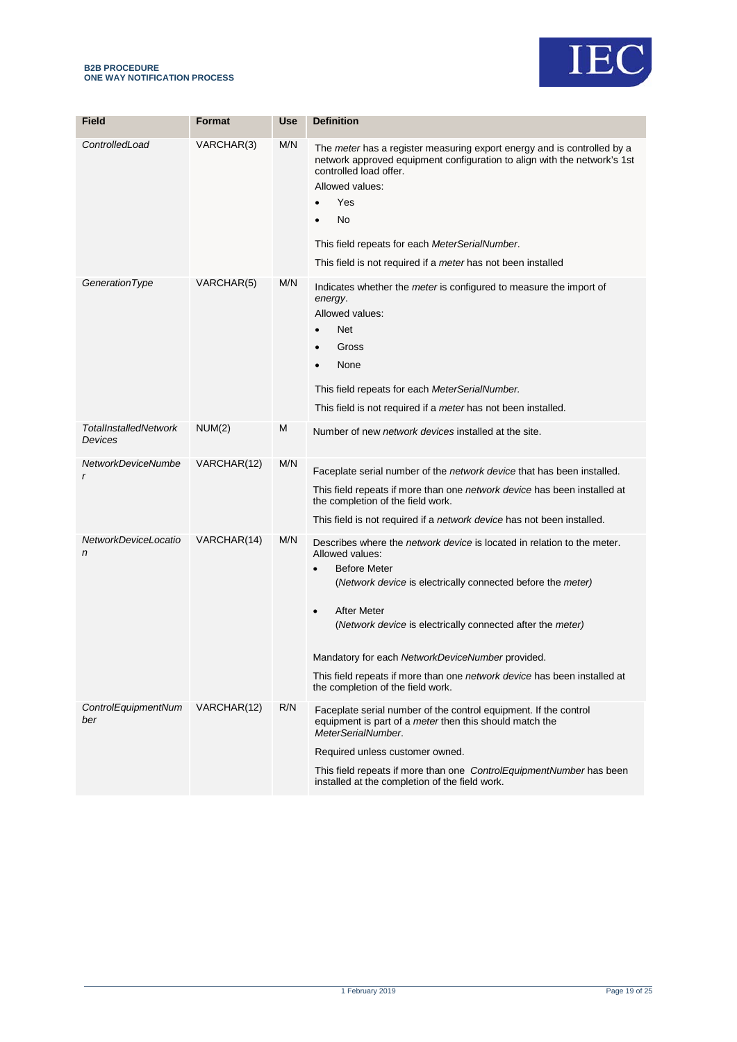



| <b>Field</b>                            | <b>Format</b> | <b>Use</b> | <b>Definition</b>                                                                                                                                                                                                                                                                                                                                                                                                                                                          |
|-----------------------------------------|---------------|------------|----------------------------------------------------------------------------------------------------------------------------------------------------------------------------------------------------------------------------------------------------------------------------------------------------------------------------------------------------------------------------------------------------------------------------------------------------------------------------|
|                                         |               |            |                                                                                                                                                                                                                                                                                                                                                                                                                                                                            |
| ControlledLoad                          | VARCHAR(3)    | M/N        | The <i>meter</i> has a register measuring export energy and is controlled by a<br>network approved equipment configuration to align with the network's 1st<br>controlled load offer.<br>Allowed values:<br>Yes<br>No<br>This field repeats for each MeterSerialNumber.<br>This field is not required if a meter has not been installed                                                                                                                                     |
| GenerationType                          | VARCHAR(5)    | M/N        | Indicates whether the <i>meter</i> is configured to measure the import of<br>energy.<br>Allowed values:<br>Net<br>Gross<br>None<br>This field repeats for each MeterSerialNumber.<br>This field is not required if a <i>meter</i> has not been installed.                                                                                                                                                                                                                  |
| <b>TotalInstalledNetwork</b><br>Devices | NUM(2)        | M          | Number of new <i>network devices</i> installed at the site.                                                                                                                                                                                                                                                                                                                                                                                                                |
| NetworkDeviceNumbe<br>r                 | VARCHAR(12)   | M/N        | Faceplate serial number of the <i>network device</i> that has been installed.<br>This field repeats if more than one <i>network device</i> has been installed at<br>the completion of the field work.<br>This field is not required if a <i>network device</i> has not been installed.                                                                                                                                                                                     |
| NetworkDeviceLocatio<br>n               | VARCHAR(14)   | M/N        | Describes where the <i>network device</i> is located in relation to the meter.<br>Allowed values:<br><b>Before Meter</b><br>$\bullet$<br>(Network device is electrically connected before the meter)<br><b>After Meter</b><br>$\bullet$<br>(Network device is electrically connected after the meter)<br>Mandatory for each NetworkDeviceNumber provided.<br>This field repeats if more than one network device has been installed at<br>the completion of the field work. |
| ControlEquipmentNum<br>ber              | VARCHAR(12)   | R/N        | Faceplate serial number of the control equipment. If the control<br>equipment is part of a <i>meter</i> then this should match the<br>MeterSerialNumber.<br>Required unless customer owned.<br>This field repeats if more than one ControlEquipmentNumber has been<br>installed at the completion of the field work.                                                                                                                                                       |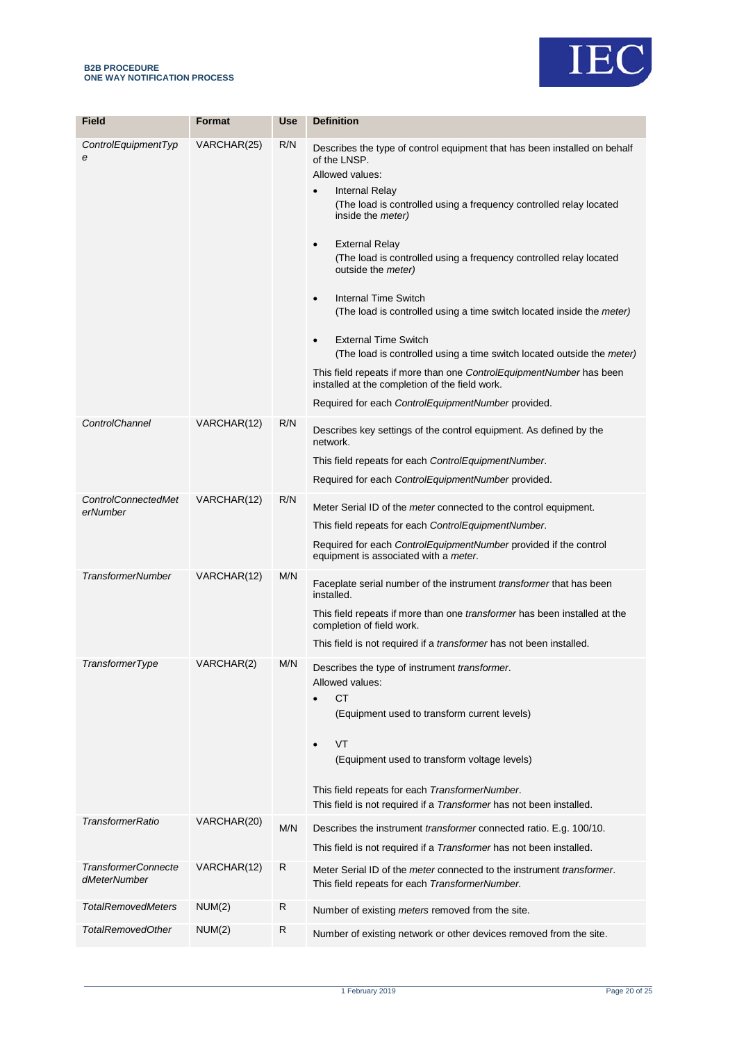

| Field                                      | <b>Format</b> | Use | <b>Definition</b>                                                                                                                                                                                                                                                                                                                                                                                                                                                                                                                                                                                                                                                                                                                                                                                                                  |
|--------------------------------------------|---------------|-----|------------------------------------------------------------------------------------------------------------------------------------------------------------------------------------------------------------------------------------------------------------------------------------------------------------------------------------------------------------------------------------------------------------------------------------------------------------------------------------------------------------------------------------------------------------------------------------------------------------------------------------------------------------------------------------------------------------------------------------------------------------------------------------------------------------------------------------|
| ControlEquipmentTyp<br>e                   | VARCHAR(25)   | R/N | Describes the type of control equipment that has been installed on behalf<br>of the LNSP.<br>Allowed values:<br><b>Internal Relay</b><br>$\bullet$<br>(The load is controlled using a frequency controlled relay located<br>inside the <i>meter</i> )<br><b>External Relay</b><br>$\bullet$<br>(The load is controlled using a frequency controlled relay located<br>outside the <i>meter</i> )<br>Internal Time Switch<br>$\bullet$<br>(The load is controlled using a time switch located inside the <i>meter</i> )<br><b>External Time Switch</b><br>$\bullet$<br>(The load is controlled using a time switch located outside the <i>meter</i> )<br>This field repeats if more than one ControlEquipmentNumber has been<br>installed at the completion of the field work.<br>Required for each ControlEquipmentNumber provided. |
| ControlChannel                             | VARCHAR(12)   | R/N | Describes key settings of the control equipment. As defined by the<br>network.<br>This field repeats for each ControlEquipmentNumber.<br>Required for each ControlEquipmentNumber provided.                                                                                                                                                                                                                                                                                                                                                                                                                                                                                                                                                                                                                                        |
| <b>ControlConnectedMet</b><br>erNumber     | VARCHAR(12)   | R/N | Meter Serial ID of the meter connected to the control equipment.<br>This field repeats for each ControlEquipmentNumber.<br>Required for each ControlEquipmentNumber provided if the control<br>equipment is associated with a meter.                                                                                                                                                                                                                                                                                                                                                                                                                                                                                                                                                                                               |
| <b>TransformerNumber</b>                   | VARCHAR(12)   | M/N | Faceplate serial number of the instrument <i>transformer</i> that has been<br>installed.<br>This field repeats if more than one <i>transformer</i> has been installed at the<br>completion of field work.<br>This field is not required if a <i>transformer</i> has not been installed.                                                                                                                                                                                                                                                                                                                                                                                                                                                                                                                                            |
| <b>TransformerType</b>                     | VARCHAR(2)    | M/N | Describes the type of instrument transformer.<br>Allowed values:<br><b>CT</b><br>(Equipment used to transform current levels)<br>VT<br>$\bullet$<br>(Equipment used to transform voltage levels)<br>This field repeats for each TransformerNumber.<br>This field is not required if a Transformer has not been installed.                                                                                                                                                                                                                                                                                                                                                                                                                                                                                                          |
| <b>TransformerRatio</b>                    | VARCHAR(20)   | M/N | Describes the instrument <i>transformer</i> connected ratio. E.g. 100/10.<br>This field is not required if a <i>Transformer</i> has not been installed.                                                                                                                                                                                                                                                                                                                                                                                                                                                                                                                                                                                                                                                                            |
| <b>TransformerConnecte</b><br>dMeterNumber | VARCHAR(12)   | R   | Meter Serial ID of the <i>meter</i> connected to the instrument <i>transformer</i> .<br>This field repeats for each TransformerNumber.                                                                                                                                                                                                                                                                                                                                                                                                                                                                                                                                                                                                                                                                                             |
| <b>TotalRemovedMeters</b>                  | NUM(2)        | R   | Number of existing meters removed from the site.                                                                                                                                                                                                                                                                                                                                                                                                                                                                                                                                                                                                                                                                                                                                                                                   |
| <b>TotalRemovedOther</b>                   | NUM(2)        | R   | Number of existing network or other devices removed from the site.                                                                                                                                                                                                                                                                                                                                                                                                                                                                                                                                                                                                                                                                                                                                                                 |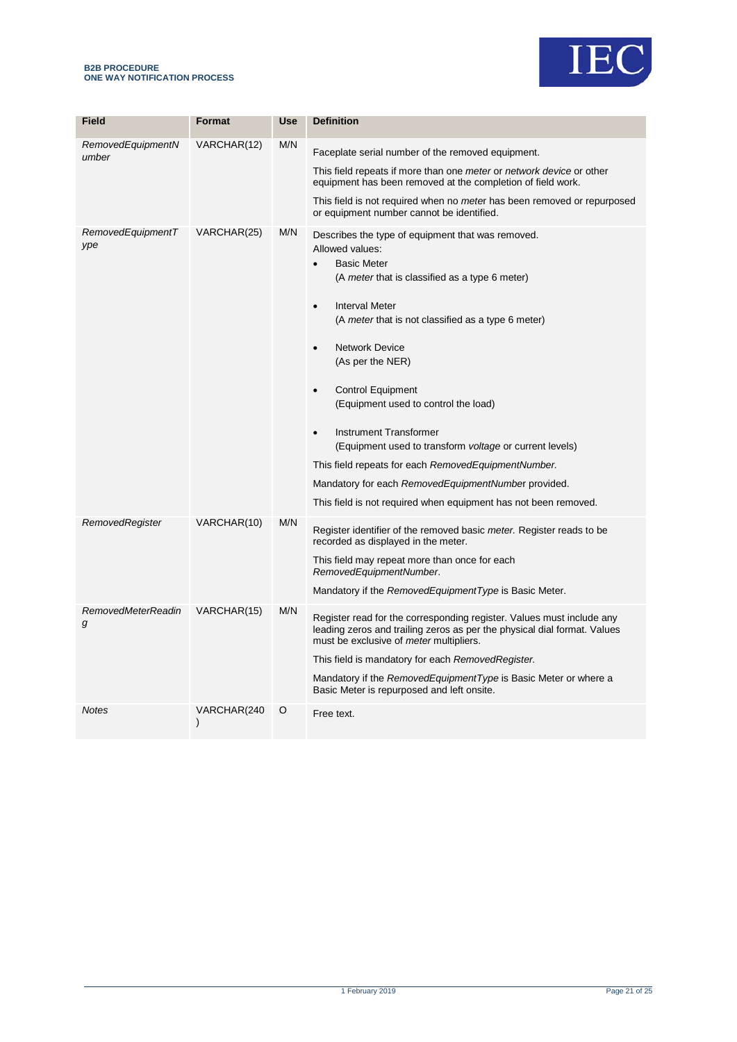#### **B2B PROCEDURE ONE WAY NOTIFICATION PROCESS**



| <b>Field</b>                   | Format                       | <b>Use</b> | <b>Definition</b>                                                                                                                                                                                                                                                                                                                                                                                                                                                                                                                                                                                                                                                                     |
|--------------------------------|------------------------------|------------|---------------------------------------------------------------------------------------------------------------------------------------------------------------------------------------------------------------------------------------------------------------------------------------------------------------------------------------------------------------------------------------------------------------------------------------------------------------------------------------------------------------------------------------------------------------------------------------------------------------------------------------------------------------------------------------|
| RemovedEquipmentN<br>umber     | VARCHAR(12)                  | M/N        | Faceplate serial number of the removed equipment.                                                                                                                                                                                                                                                                                                                                                                                                                                                                                                                                                                                                                                     |
|                                |                              |            | This field repeats if more than one meter or network device or other<br>equipment has been removed at the completion of field work.                                                                                                                                                                                                                                                                                                                                                                                                                                                                                                                                                   |
|                                |                              |            | This field is not required when no <i>meter</i> has been removed or repurposed<br>or equipment number cannot be identified.                                                                                                                                                                                                                                                                                                                                                                                                                                                                                                                                                           |
| RemovedEquipmentT<br>ype       | VARCHAR(25)                  | M/N        | Describes the type of equipment that was removed.<br>Allowed values:<br><b>Basic Meter</b><br>$\bullet$<br>(A meter that is classified as a type 6 meter)<br><b>Interval Meter</b><br>$\bullet$<br>(A meter that is not classified as a type 6 meter)<br><b>Network Device</b><br>$\bullet$<br>(As per the NER)<br><b>Control Equipment</b><br>$\bullet$<br>(Equipment used to control the load)<br>Instrument Transformer<br>$\bullet$<br>(Equipment used to transform voltage or current levels)<br>This field repeats for each Removed Equipment Number.<br>Mandatory for each RemovedEquipmentNumber provided.<br>This field is not required when equipment has not been removed. |
| RemovedRegister                | VARCHAR(10)                  | M/N        |                                                                                                                                                                                                                                                                                                                                                                                                                                                                                                                                                                                                                                                                                       |
|                                |                              |            | Register identifier of the removed basic meter. Register reads to be<br>recorded as displayed in the meter.                                                                                                                                                                                                                                                                                                                                                                                                                                                                                                                                                                           |
|                                |                              |            | This field may repeat more than once for each<br>RemovedEquipmentNumber.                                                                                                                                                                                                                                                                                                                                                                                                                                                                                                                                                                                                              |
|                                |                              |            | Mandatory if the RemovedEquipmentType is Basic Meter.                                                                                                                                                                                                                                                                                                                                                                                                                                                                                                                                                                                                                                 |
| <b>RemovedMeterReadin</b><br>g | VARCHAR(15)                  | M/N        | Register read for the corresponding register. Values must include any<br>leading zeros and trailing zeros as per the physical dial format. Values<br>must be exclusive of <i>meter</i> multipliers.<br>This field is mandatory for each Removed Register.<br>Mandatory if the RemovedEquipmentType is Basic Meter or where a<br>Basic Meter is repurposed and left onsite.                                                                                                                                                                                                                                                                                                            |
| <b>Notes</b>                   | VARCHAR(240<br>$\mathcal{E}$ | O          | Free text.                                                                                                                                                                                                                                                                                                                                                                                                                                                                                                                                                                                                                                                                            |
|                                |                              |            |                                                                                                                                                                                                                                                                                                                                                                                                                                                                                                                                                                                                                                                                                       |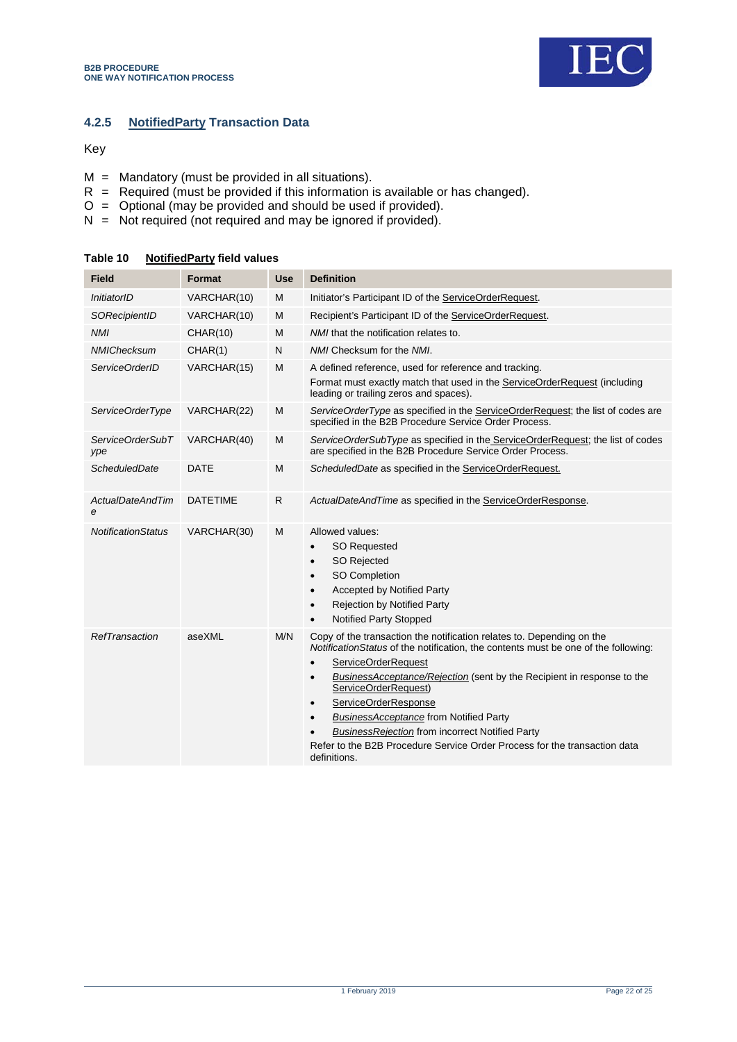

### **4.2.5 NotifiedParty Transaction Data**

Key

- $M =$  Mandatory (must be provided in all situations).
- $R$  = Required (must be provided if this information is available or has changed).
- O = Optional (may be provided and should be used if provided).
- N = Not required (not required and may be ignored if provided).

| <b>Field</b>                          | Format          | <b>Use</b> | <b>Definition</b>                                                                                                                                                                                                                                                                                                                                                                                                                                                                                                                                                         |
|---------------------------------------|-----------------|------------|---------------------------------------------------------------------------------------------------------------------------------------------------------------------------------------------------------------------------------------------------------------------------------------------------------------------------------------------------------------------------------------------------------------------------------------------------------------------------------------------------------------------------------------------------------------------------|
| InitiatorID                           | VARCHAR(10)     | M          | Initiator's Participant ID of the ServiceOrderRequest.                                                                                                                                                                                                                                                                                                                                                                                                                                                                                                                    |
| SORecipientID                         | VARCHAR(10)     | м          | Recipient's Participant ID of the ServiceOrderRequest.                                                                                                                                                                                                                                                                                                                                                                                                                                                                                                                    |
| <b>NMI</b>                            | <b>CHAR(10)</b> | M          | NMI that the notification relates to.                                                                                                                                                                                                                                                                                                                                                                                                                                                                                                                                     |
| <b>NMIChecksum</b>                    | CHAR(1)         | N          | NMI Checksum for the NMI.                                                                                                                                                                                                                                                                                                                                                                                                                                                                                                                                                 |
| ServiceOrderID                        | VARCHAR(15)     | M          | A defined reference, used for reference and tracking.<br>Format must exactly match that used in the ServiceOrderRequest (including<br>leading or trailing zeros and spaces).                                                                                                                                                                                                                                                                                                                                                                                              |
| ServiceOrderType                      | VARCHAR(22)     | M          | ServiceOrderType as specified in the ServiceOrderRequest; the list of codes are<br>specified in the B2B Procedure Service Order Process.                                                                                                                                                                                                                                                                                                                                                                                                                                  |
| ServiceOrderSubT<br>ype               | VARCHAR(40)     | M          | ServiceOrderSubType as specified in the ServiceOrderRequest; the list of codes<br>are specified in the B2B Procedure Service Order Process.                                                                                                                                                                                                                                                                                                                                                                                                                               |
| ScheduledDate                         | <b>DATE</b>     | M          | ScheduledDate as specified in the ServiceOrderRequest.                                                                                                                                                                                                                                                                                                                                                                                                                                                                                                                    |
| <b>ActualDateAndTim</b><br>$\epsilon$ | <b>DATETIME</b> | R          | ActualDateAndTime as specified in the ServiceOrderResponse.                                                                                                                                                                                                                                                                                                                                                                                                                                                                                                               |
| <i>NotificationStatus</i>             | VARCHAR(30)     | м          | Allowed values:<br><b>SO Requested</b><br>$\bullet$<br><b>SO Rejected</b><br>$\bullet$<br>SO Completion<br>$\bullet$<br><b>Accepted by Notified Party</b><br>$\bullet$<br><b>Rejection by Notified Party</b><br>$\bullet$<br><b>Notified Party Stopped</b>                                                                                                                                                                                                                                                                                                                |
| RefTransaction                        | aseXML          | M/N        | Copy of the transaction the notification relates to. Depending on the<br>Notification Status of the notification, the contents must be one of the following:<br>ServiceOrderRequest<br>$\bullet$<br>BusinessAcceptance/Rejection (sent by the Recipient in response to the<br>$\bullet$<br>ServiceOrderRequest)<br>ServiceOrderResponse<br>$\bullet$<br><b>BusinessAcceptance from Notified Party</b><br>$\bullet$<br><b>BusinessRejection from incorrect Notified Party</b><br>Refer to the B2B Procedure Service Order Process for the transaction data<br>definitions. |

<span id="page-21-0"></span>**Table 10 NotifiedParty field values**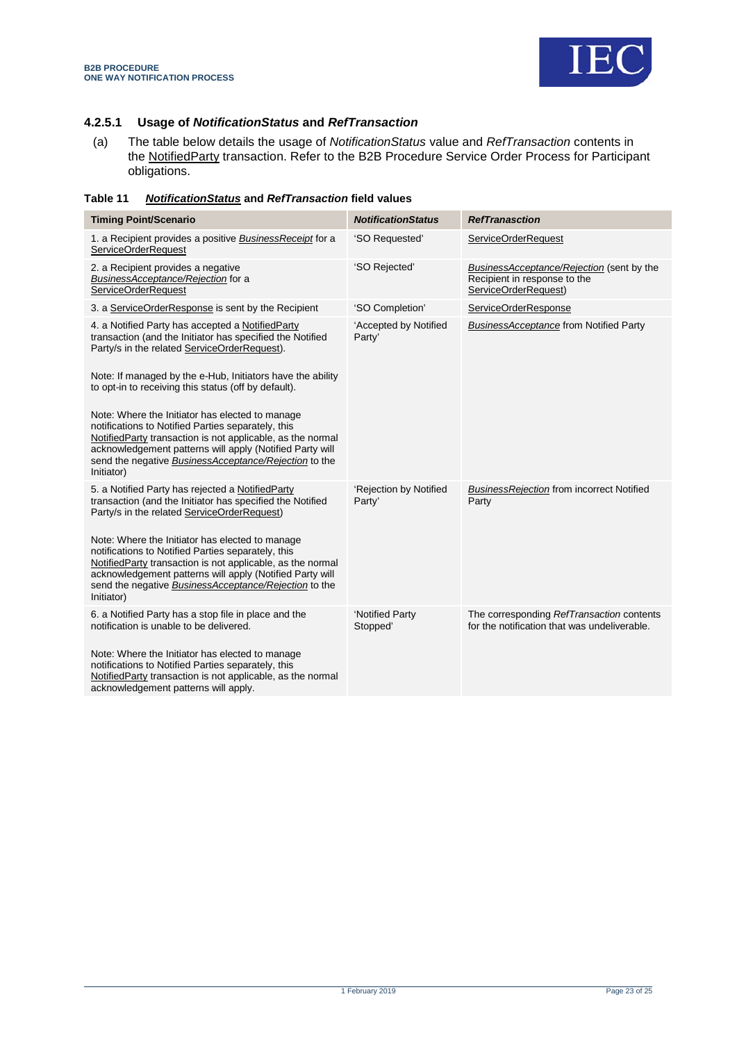

#### **4.2.5.1 Usage of** *NotificationStatus* **and** *RefTransaction*

(a) The table below details the usage of *NotificationStatus* value and *RefTransaction* contents in the <u>NotifiedParty</u> transaction. Refer to the B2B Procedure Service Order Process for Participant obligations.

<span id="page-22-0"></span>

| Table 11 |  | <b>NotificationStatus and RefTransaction field values</b> |
|----------|--|-----------------------------------------------------------|
|----------|--|-----------------------------------------------------------|

| <b>Timing Point/Scenario</b>                                                                                                                                                                                                                                                                           | <b>NotificationStatus</b>        | <b>RefTranasction</b>                                                                                    |
|--------------------------------------------------------------------------------------------------------------------------------------------------------------------------------------------------------------------------------------------------------------------------------------------------------|----------------------------------|----------------------------------------------------------------------------------------------------------|
| 1. a Recipient provides a positive Business Receipt for a<br><b>ServiceOrderRequest</b>                                                                                                                                                                                                                | 'SO Requested'                   | ServiceOrderRequest                                                                                      |
| 2. a Recipient provides a negative<br>BusinessAcceptance/Rejection for a<br><b>ServiceOrderRequest</b>                                                                                                                                                                                                 | 'SO Rejected'                    | <b>BusinessAcceptance/Rejection (sent by the</b><br>Recipient in response to the<br>ServiceOrderRequest) |
| 3. a ServiceOrderResponse is sent by the Recipient                                                                                                                                                                                                                                                     | 'SO Completion'                  | ServiceOrderResponse                                                                                     |
| 4. a Notified Party has accepted a NotifiedParty<br>transaction (and the Initiator has specified the Notified<br>Party/s in the related ServiceOrderRequest).<br>Note: If managed by the e-Hub, Initiators have the ability                                                                            | 'Accepted by Notified<br>Party'  | <b>BusinessAcceptance from Notified Party</b>                                                            |
| to opt-in to receiving this status (off by default).                                                                                                                                                                                                                                                   |                                  |                                                                                                          |
| Note: Where the Initiator has elected to manage<br>notifications to Notified Parties separately, this<br>NotifiedParty transaction is not applicable, as the normal<br>acknowledgement patterns will apply (Notified Party will<br>send the negative BusinessAcceptance/Rejection to the<br>Initiator) |                                  |                                                                                                          |
| 5. a Notified Party has rejected a NotifiedParty<br>transaction (and the Initiator has specified the Notified<br>Party/s in the related ServiceOrderRequest)                                                                                                                                           | 'Rejection by Notified<br>Party' | <b>BusinessRejection from incorrect Notified</b><br>Party                                                |
| Note: Where the Initiator has elected to manage<br>notifications to Notified Parties separately, this<br>NotifiedParty transaction is not applicable, as the normal<br>acknowledgement patterns will apply (Notified Party will<br>send the negative BusinessAcceptance/Rejection to the<br>Initiator) |                                  |                                                                                                          |
| 6. a Notified Party has a stop file in place and the<br>notification is unable to be delivered.                                                                                                                                                                                                        | 'Notified Party<br>Stopped'      | The corresponding RefTransaction contents<br>for the notification that was undeliverable.                |
| Note: Where the Initiator has elected to manage<br>notifications to Notified Parties separately, this<br>NotifiedParty transaction is not applicable, as the normal<br>acknowledgement patterns will apply.                                                                                            |                                  |                                                                                                          |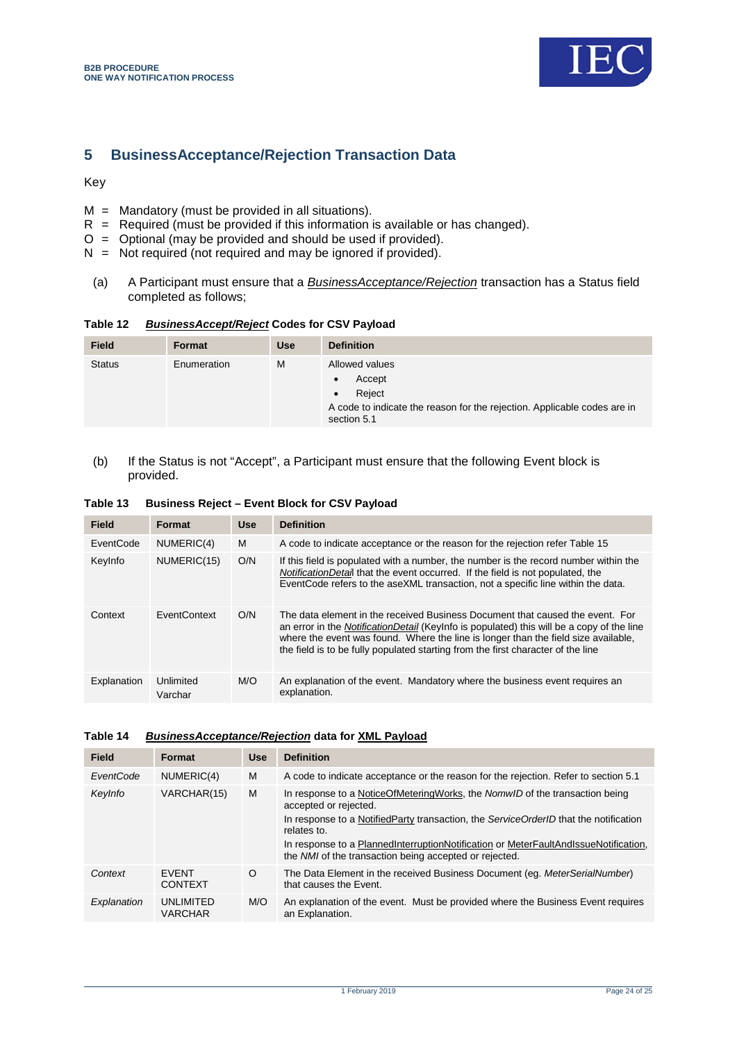

### <span id="page-23-0"></span>**5 BusinessAcceptance/Rejection Transaction Data**

Key

- $M =$  Mandatory (must be provided in all situations).
- $R$  = Required (must be provided if this information is available or has changed).
- $O =$  Optional (may be provided and should be used if provided).
- $N = Not required (not required and may be ignored if provided).$ 
	- (a) A Participant must ensure that a *BusinessAcceptance/Rejection* transaction has a Status field completed as follows;

<span id="page-23-1"></span>

| Table 12 | <b>BusinessAccept/Reject Codes for CSV Payload</b> |
|----------|----------------------------------------------------|
|----------|----------------------------------------------------|

| <b>Field</b>  | Format      | <b>Use</b> | <b>Definition</b>                                                                                                             |  |  |  |
|---------------|-------------|------------|-------------------------------------------------------------------------------------------------------------------------------|--|--|--|
| <b>Status</b> | Enumeration | М          | Allowed values<br>Accept<br>Reiect<br>A code to indicate the reason for the rejection. Applicable codes are in<br>section 5.1 |  |  |  |

(b) If the Status is not "Accept", a Participant must ensure that the following Event block is provided.

<span id="page-23-2"></span>

|  | Table 13 Business Reject - Event Block for CSV Payload |  |  |
|--|--------------------------------------------------------|--|--|
|--|--------------------------------------------------------|--|--|

| <b>Field</b> | Format               | <b>Use</b> | <b>Definition</b>                                                                                                                                                                                                                                                                                                                                    |
|--------------|----------------------|------------|------------------------------------------------------------------------------------------------------------------------------------------------------------------------------------------------------------------------------------------------------------------------------------------------------------------------------------------------------|
| EventCode    | NUMERIC(4)           | м          | A code to indicate acceptance or the reason for the rejection refer Table 15                                                                                                                                                                                                                                                                         |
| KeyInfo      | NUMERIC(15)          | O/N        | If this field is populated with a number, the number is the record number within the<br><i>NotificationDetail</i> that the event occurred. If the field is not populated, the<br>EventCode refers to the aseXML transaction, not a specific line within the data.                                                                                    |
| Context      | <b>FventContext</b>  | O/N        | The data element in the received Business Document that caused the event. For<br>an error in the NotificationDetail (Keylnfo is populated) this will be a copy of the line<br>where the event was found. Where the line is longer than the field size available,<br>the field is to be fully populated starting from the first character of the line |
| Explanation  | Unlimited<br>Varchar | M/O        | An explanation of the event. Mandatory where the business event requires an<br>explanation.                                                                                                                                                                                                                                                          |

#### <span id="page-23-3"></span>**Table 14** *BusinessAcceptance/Rejection* **data for XML Payload**

| Format                             | <b>Use</b> | <b>Definition</b>                                                                                                                             |
|------------------------------------|------------|-----------------------------------------------------------------------------------------------------------------------------------------------|
| NUMERIC(4)                         | м          | A code to indicate acceptance or the reason for the rejection. Refer to section 5.1                                                           |
| VARCHAR(15)                        | M          | In response to a NoticeOfMeteringWorks, the NomwID of the transaction being<br>accepted or rejected.                                          |
|                                    |            | In response to a NotifiedParty transaction, the ServiceOrderID that the notification<br>relates to.                                           |
|                                    |            | In response to a PlannedInterruptionNotification or MeterFaultAndIssueNotification,<br>the NMI of the transaction being accepted or rejected. |
| <b>FVFNT</b><br><b>CONTEXT</b>     | $\circ$    | The Data Element in the received Business Document (eg. MeterSerialNumber)<br>that causes the Event.                                          |
| <b>UNLIMITED</b><br><b>VARCHAR</b> | M/O        | An explanation of the event. Must be provided where the Business Event requires<br>an Explanation.                                            |
|                                    |            |                                                                                                                                               |